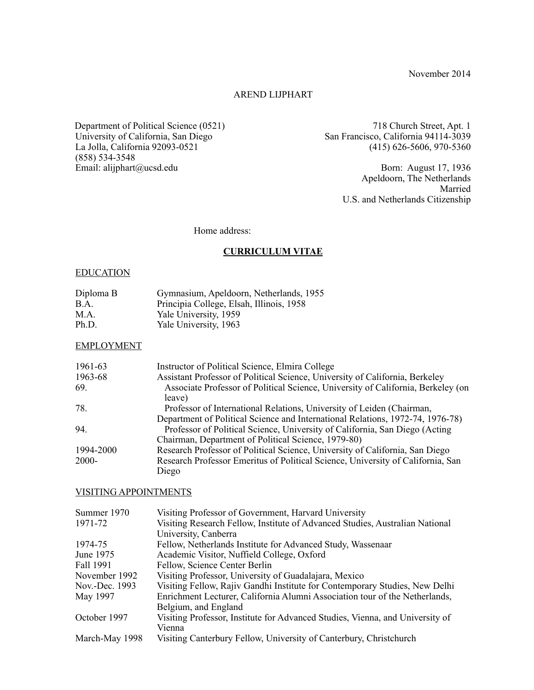November 2014

# AREND LIJPHART

 Department of Political Science (0521) University of California, San Diego La Jolla, California 92093-0521 (858) 534-3548 Email: alijphart@ucsd.edu

718 Church Street, Apt. 1 San Francisco, California 94114-3039 (415) 626-5606, 970-5360

> Born: August 17, 1936 Apeldoorn, The Netherlands Married U.S. and Netherlands Citizenship

Home address:

# **CURRICULUM VITAE**

## **EDUCATION**

| Diploma B | Gymnasium, Apeldoorn, Netherlands, 1955  |
|-----------|------------------------------------------|
| B.A.      | Principia College, Elsah, Illinois, 1958 |
| M.A.      | Yale University, 1959                    |
| Ph.D.     | Yale University, 1963                    |

### EMPLOYMENT

| 1961-63      | Instructor of Political Science, Elmira College                                            |
|--------------|--------------------------------------------------------------------------------------------|
| 1963-68      | Assistant Professor of Political Science, University of California, Berkeley               |
| 69.          | Associate Professor of Political Science, University of California, Berkeley (on<br>leave) |
| 78.          | Professor of International Relations, University of Leiden (Chairman,                      |
|              | Department of Political Science and International Relations, 1972-74, 1976-78)             |
| 94.          | Professor of Political Science, University of California, San Diego (Acting)               |
|              | Chairman, Department of Political Science, 1979-80)                                        |
| 1994-2000    | Research Professor of Political Science, University of California, San Diego               |
| <b>2000-</b> | Research Professor Emeritus of Political Science, University of California, San            |
|              | Diego                                                                                      |

### VISITING APPOINTMENTS

| Summer 1970    | Visiting Professor of Government, Harvard University                          |
|----------------|-------------------------------------------------------------------------------|
| 1971-72        | Visiting Research Fellow, Institute of Advanced Studies, Australian National  |
|                | University, Canberra                                                          |
| 1974-75        | Fellow, Netherlands Institute for Advanced Study, Wassenaar                   |
| June 1975      | Academic Visitor, Nuffield College, Oxford                                    |
| Fall 1991      | Fellow, Science Center Berlin                                                 |
| November 1992  | Visiting Professor, University of Guadalajara, Mexico                         |
| Nov.-Dec. 1993 | Visiting Fellow, Rajiv Gandhi Institute for Contemporary Studies, New Delhi   |
| May 1997       | Enrichment Lecturer, California Alumni Association tour of the Netherlands,   |
|                | Belgium, and England                                                          |
| October 1997   | Visiting Professor, Institute for Advanced Studies, Vienna, and University of |
|                | Vienna                                                                        |
| March-May 1998 | Visiting Canterbury Fellow, University of Canterbury, Christchurch            |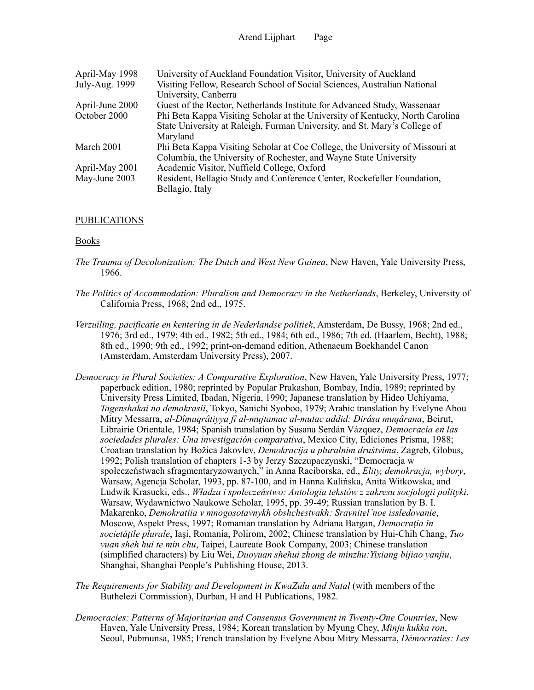| April-May 1998  | University of Auckland Foundation Visitor, University of Auckland             |
|-----------------|-------------------------------------------------------------------------------|
| July-Aug. 1999  | Visiting Fellow, Research School of Social Sciences, Australian National      |
|                 | University, Canberra                                                          |
| April-June 2000 | Guest of the Rector, Netherlands Institute for Advanced Study, Wassenaar      |
| October 2000    | Phi Beta Kappa Visiting Scholar at the University of Kentucky, North Carolina |
|                 | State University at Raleigh, Furman University, and St. Mary's College of     |
|                 | Maryland                                                                      |
| March 2001      | Phi Beta Kappa Visiting Scholar at Coe College, the University of Missouri at |
|                 | Columbia, the University of Rochester, and Wayne State University             |
| April-May 2001  | Academic Visitor, Nuffield College, Oxford                                    |
| May-June 2003   | Resident, Bellagio Study and Conference Center, Rockefeller Foundation,       |
|                 | Bellagio, Italy                                                               |

## PUBLICATIONS

### Books

- *The Trauma of Decolonization: The Dutch and West New Guinea*, New Haven, Yale University Press, 1966.
- *The Politics of Accommodation: Pluralism and Democracy in the Netherlands*, Berkeley, University of California Press, 1968; 2nd ed., 1975.
- *Verzuiling, pacificatie en kentering in de Nederlandse politiek*, Amsterdam, De Bussy, 1968; 2nd ed., 1976; 3rd ed., 1979; 4th ed., 1982; 5th ed., 1984; 6th ed., 1986; 7th ed. (Haarlem, Becht), 1988; 8th ed., 1990; 9th ed., 1992; print-on-demand edition, Athenaeum Boekhandel Canon (Amsterdam, Amsterdam University Press), 2007.
- *Democracy in Plural Societies: A Comparative Exploration*, New Haven, Yale University Press, 1977; paperback edition, 1980; reprinted by Popular Prakashan, Bombay, India, 1989; reprinted by University Press Limited, Ibadan, Nigeria, 1990; Japanese translation by Hideo Uchiyama, *Tagenshakai no demokrasii*, Tokyo, Sanichi Syoboo, 1979; Arabic translation by Evelyne Abou Mitry Messarra, *al-Dîmuqrâtiyya fî al-mujtamac al-mutac addid: Dirâsa muqârana*, Beirut, Librairie Orientale, 1984; Spanish translation by Susana Serdán Vázquez, *Democracia en las sociedades plurales: Una investigación comparativa*, Mexico City, Ediciones Prisma, 1988; Croatian translation by Božica Jakovlev, *Demokracija u pluralnim društvima*, Zagreb, Globus, 1992; Polish translation of chapters 1-3 by Jerzy Szczupaczynski, "Democracja w społeczeństwach sfragmentaryzowanych," in Anna Raciborska, ed., *Elity, demokracja, wybory*, Warsaw, Agencja Scholar, 1993, pp. 87-100, and in Hanna Kalińska, Anita Witkowska, and Ludwik Krasucki, eds., *Władza i społeczeństwo: Antologia tekstów z zakresu socjologii polityki*, Warsaw, Wydawnictwo Naukowe Scholar, 1995, pp. 39-49; Russian translation by B. I. Makarenko, *Demokratiia v mnogosotavnykh obshchestvakh: Sravnitel'noe issledovanie*, Moscow, Aspekt Press, 1997; Romanian translation by Adriana Bargan, *Democraţia în societăţile plurale*, Iaşi, Romania, Polirom, 2002; Chinese translation by Hui-Chih Chang, *Tuo yuan sheh hui te min chu*, Taipei, Laureate Book Company, 2003; Chinese translation (simplified characters) by Liu Wei, *Duoyuan shehui zhong de minzhu:Yixiang bijiao yanjiu*, Shanghai, Shanghai People's Publishing House, 2013.
- *The Requirements for Stability and Development in KwaZulu and Natal* (with members of the Buthelezi Commission), Durban, H and H Publications, 1982.
- *Democracies: Patterns of Majoritarian and Consensus Government in Twenty-One Countries*, New Haven, Yale University Press, 1984; Korean translation by Myung Chey, *Minju kukka ron*, Seoul, Pubmunsa, 1985; French translation by Evelyne Abou Mitry Messarra, *Démocraties: Les*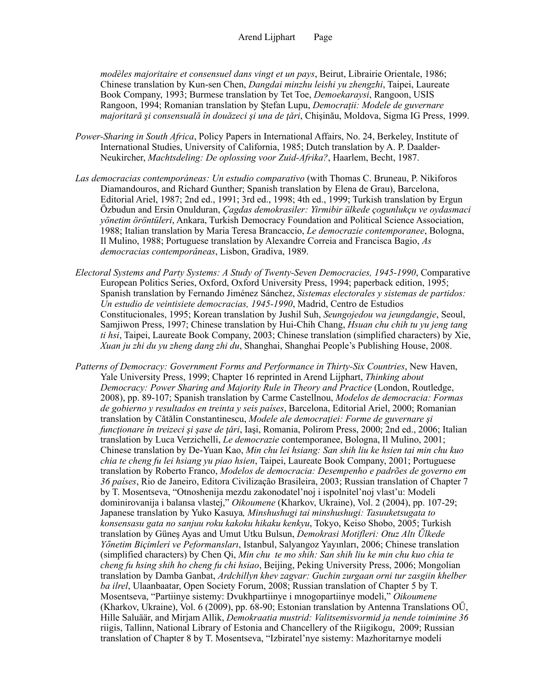*modèles majoritaire et consensuel dans vingt et un pays*, Beirut, Librairie Orientale, 1986; Chinese translation by Kun-sen Chen, *Dangdai minzhu leishi yu zhengzhi*, Taipei, Laureate Book Company, 1993; Burmese translation by Tet Toe, *Demoekaraysi*, Rangoon, USIS Rangoon, 1994; Romanian translation by Ştefan Lupu, *Democraţii: Modele de guvernare majoritară şi consensuală în douăzeci şi una de ţǎri*, Chişinău, Moldova, Sigma IG Press, 1999.

- *Power-Sharing in South Africa*, Policy Papers in International Affairs, No. 24, Berkeley, Institute of International Studies, University of California, 1985; Dutch translation by A. P. Daalder-Neukircher, *Machtsdeling: De oplossing voor Zuid-Afrika?*, Haarlem, Becht, 1987.
- *Las democracias contemporáneas: Un estudio comparativo* (with Thomas C. Bruneau, P. Nikiforos Diamandouros, and Richard Gunther; Spanish translation by Elena de Grau), Barcelona, Editorial Ariel, 1987; 2nd ed., 1991; 3rd ed., 1998; 4th ed., 1999; Turkish translation by Ergun Özbudun and Ersin Onulduran, *Çagdas demokrasiler: Yirmibir ülkede çogunlukçu ve oydasmaci yönetim öröntüleri*, Ankara, Turkish Democracy Foundation and Political Science Association, 1988; Italian translation by Maria Teresa Brancaccio, *Le democrazie contemporanee*, Bologna, Il Mulino, 1988; Portuguese translation by Alexandre Correia and Francisca Bagio, *As democracias contemporâneas*, Lisbon, Gradiva, 1989.
- *Electoral Systems and Party Systems: A Study of Twenty-Seven Democracies, 1945-1990*, Comparative European Politics Series, Oxford, Oxford University Press, 1994; paperback edition, 1995; Spanish translation by Fernando Jiménez Sánchez, *Sistemas electorales y sistemas de partidos: Un estudio de veintisiete democracias, 1945-1990*, Madrid, Centro de Estudios Constitucionales, 1995; Korean translation by Jushil Suh, *Seungojedou wa jeungdangje*, Seoul, Samjiwon Press, 1997; Chinese translation by Hui-Chih Chang, *Hsuan chu chih tu yu jeng tang ti hsi*, Taipei, Laureate Book Company, 2003; Chinese translation (simplified characters) by Xie, *Xuan ju zhi du yu zheng dang zhi du*, Shanghai, Shanghai People's Publishing House, 2008.
- *Patterns of Democracy: Government Forms and Performance in Thirty-Six Countries*, New Haven, Yale University Press, 1999; Chapter 16 reprinted in Arend Lijphart, *Thinking about Democracy: Power Sharing and Majority Rule in Theory and Practice* (London, Routledge, 2008), pp. 89-107; Spanish translation by Carme Castellnou, *Modelos de democracia: Formas de gobierno y resultados en treinta y seis países*, Barcelona, Editorial Ariel, 2000; Romanian translation by Cǎtǎlin Constantinescu, *Modele ale democraţiei: Forme de guvernare şi funcţionare în treizeci şi şase de ţǎri*, Iaşi, Romania, Polirom Press, 2000; 2nd ed., 2006; Italian translation by Luca Verzichelli, *Le democrazie* contemporanee, Bologna, Il Mulino, 2001; Chinese translation by De-Yuan Kao, *Min chu lei hsiang: San shih liu ke hsien tai min chu kuo chia te cheng fu lei hsiang yu piao hsien*, Taipei, Laureate Book Company, 2001; Portuguese translation by Roberto Franco, *Modelos de democracia: Desempenho e padrões de governo em 36 países*, Rio de Janeiro, Editora Civilização Brasileira, 2003; Russian translation of Chapter 7 by T. Mosentseva, "Otnoshenija mezdu zakonodatel'noj i ispolnitel'noj vlast'u: Modeli dominirovanija i balansa vlastej," *Oikoumene* (Kharkov, Ukraine), Vol. 2 (2004), pp. 107-29; Japanese translation by Yuko Kasuya*, Minshushugi tai minshushugi: Tasuuketsugata to konsensasu gata no sanjuu roku kakoku hikaku kenkyu*, Tokyo, Keiso Shobo, 2005; Turkish translation by Güneş Ayas and Umut Utku Bulsun, *Demokrasi Motifleri: Otuz Altı Űlkede Yőnetim Biçimleri ve Peformansları*, Istanbul, Salyangoz Yayınları, 2006; Chinese translation (simplified characters) by Chen Qi, *Min chu te mo shih: San shih liu ke min chu kuo chia te cheng fu hsing shih ho cheng fu chi hsiao*, Beijing, Peking University Press, 2006; Mongolian translation by Damba Ganbat, *Ardchillyn khev zagvar: Guchin zurgaan orni tur zasgiin khelber ba ilrel*, Ulaanbaatar, Open Society Forum, 2008; Russian translation of Chapter 5 by T. Mosentseva, "Partiinye sistemy: Dvukhpartiinye i mnogopartiinye modeli," *Oikoumene* (Kharkov, Ukraine), Vol. 6 (2009), pp. 68-90; Estonian translation by Antenna Translations OŰ, Hille Saluäär, and Mirjam Allik, *Demokraatia mustrid: Valitsemisvormid ja nende toimimine 36*  riigis, Tallinn, National Library of Estonia and Chancellery of the Riigikogu, 2009; Russian translation of Chapter 8 by T. Mosentseva, "Izbiratel'nye sistemy: Mazhoritarnye modeli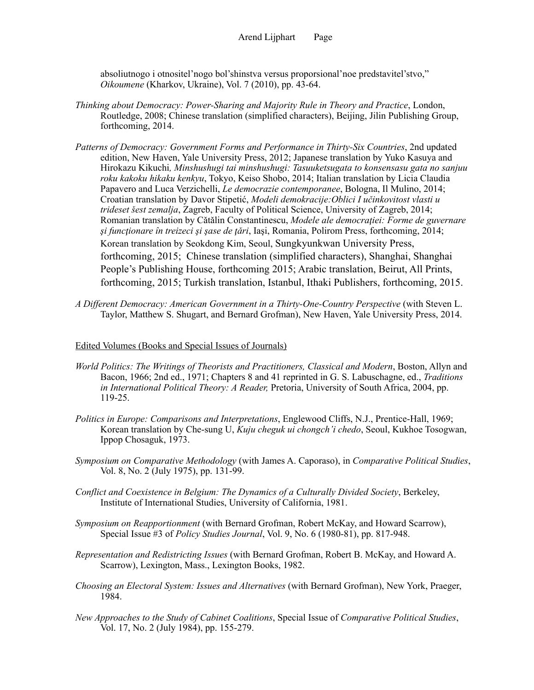absoliutnogo i otnositel'nogo bol'shinstva versus proporsional'noe predstavitel'stvo," *Oikoumene* (Kharkov, Ukraine), Vol. 7 (2010), pp. 43-64.

- *Thinking about Democracy: Power-Sharing and Majority Rule in Theory and Practice*, London, Routledge, 2008; Chinese translation (simplified characters), Beijing, Jilin Publishing Group, forthcoming, 2014.
- *Patterns of Democracy: Government Forms and Performance in Thirty-Six Countries*, 2nd updated edition, New Haven, Yale University Press, 2012; Japanese translation by Yuko Kasuya and Hirokazu Kikuchi*, Minshushugi tai minshushugi: Tasuuketsugata to konsensasu gata no sanjuu roku kakoku hikaku kenkyu*, Tokyo, Keiso Shobo, 2014; Italian translation by Licia Claudia Papavero and Luca Verzichelli, *Le democrazie contemporanee*, Bologna, Il Mulino, 2014; Croatian translation by Davor Stipetić, *Modeli demokracije:Oblici I učinkovitost vlasti u trideset šest zemalja*, Zagreb, Faculty of Political Science, University of Zagreb, 2014; Romanian translation by Cǎtǎlin Constantinescu, *Modele ale democraţiei: Forme de guvernare şi funcţionare în treizeci şi şase de ţǎri*, Iaşi, Romania, Polirom Press, forthcoming, 2014; Korean translation by Seokdong Kim, Seoul, Sungkyunkwan University Press, forthcoming, 2015; Chinese translation (simplified characters), Shanghai, Shanghai People's Publishing House, forthcoming 2015; Arabic translation, Beirut, All Prints, forthcoming, 2015; Turkish translation, Istanbul, Ithaki Publishers, forthcoming, 2015.
- *A Different Democracy: American Government in a Thirty-One-Country Perspective* (with Steven L. Taylor, Matthew S. Shugart, and Bernard Grofman), New Haven, Yale University Press, 2014.

### Edited Volumes (Books and Special Issues of Journals)

- *World Politics: The Writings of Theorists and Practitioners, Classical and Modern*, Boston, Allyn and Bacon, 1966; 2nd ed., 1971; Chapters 8 and 41 reprinted in G. S. Labuschagne, ed., *Traditions in International Political Theory: A Reader,* Pretoria, University of South Africa, 2004, pp. 119-25.
- *Politics in Europe: Comparisons and Interpretations*, Englewood Cliffs, N.J., Prentice-Hall, 1969; Korean translation by Che-sung U, *Kuju cheguk ui chongch'i chedo*, Seoul, Kukhoe Tosogwan, Ippop Chosaguk, 1973.
- *Symposium on Comparative Methodology* (with James A. Caporaso), in *Comparative Political Studies*, Vol. 8, No. 2 (July 1975), pp. 131-99.
- *Conflict and Coexistence in Belgium: The Dynamics of a Culturally Divided Society*, Berkeley, Institute of International Studies, University of California, 1981.
- *Symposium on Reapportionment* (with Bernard Grofman, Robert McKay, and Howard Scarrow), Special Issue #3 of *Policy Studies Journal*, Vol. 9, No. 6 (1980-81), pp. 817-948.
- *Representation and Redistricting Issues* (with Bernard Grofman, Robert B. McKay, and Howard A. Scarrow), Lexington, Mass., Lexington Books, 1982.
- *Choosing an Electoral System: Issues and Alternatives* (with Bernard Grofman), New York, Praeger, 1984.
- *New Approaches to the Study of Cabinet Coalitions*, Special Issue of *Comparative Political Studies*, Vol. 17, No. 2 (July 1984), pp. 155-279.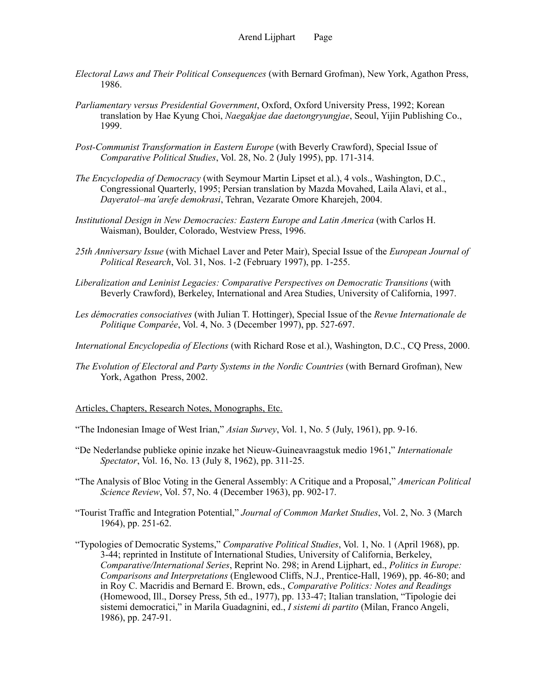- *Electoral Laws and Their Political Consequences* (with Bernard Grofman), New York, Agathon Press, 1986.
- *Parliamentary versus Presidential Government*, Oxford, Oxford University Press, 1992; Korean translation by Hae Kyung Choi, *Naegakjae dae daetongryungjae*, Seoul, Yijin Publishing Co., 1999.
- *Post-Communist Transformation in Eastern Europe* (with Beverly Crawford), Special Issue of *Comparative Political Studies*, Vol. 28, No. 2 (July 1995), pp. 171-314.
- *The Encyclopedia of Democracy* (with Seymour Martin Lipset et al.), 4 vols., Washington, D.C., Congressional Quarterly, 1995; Persian translation by Mazda Movahed, Laila Alavi, et al., *Dayeratol–ma'arefe demokrasi*, Tehran, Vezarate Omore Kharejeh, 2004.
- *Institutional Design in New Democracies: Eastern Europe and Latin America* (with Carlos H. Waisman), Boulder, Colorado, Westview Press, 1996.
- *25th Anniversary Issue* (with Michael Laver and Peter Mair), Special Issue of the *European Journal of Political Research*, Vol. 31, Nos. 1-2 (February 1997), pp. 1-255.
- *Liberalization and Leninist Legacies: Comparative Perspectives on Democratic Transitions* (with Beverly Crawford), Berkeley, International and Area Studies, University of California, 1997.
- *Les démocraties consociatives* (with Julian T. Hottinger), Special Issue of the *Revue Internationale de Politique Comparée*, Vol. 4, No. 3 (December 1997), pp. 527-697.
- *International Encyclopedia of Elections* (with Richard Rose et al.), Washington, D.C., CQ Press, 2000.
- *The Evolution of Electoral and Party Systems in the Nordic Countries* (with Bernard Grofman), New York, Agathon Press, 2002.

### Articles, Chapters, Research Notes, Monographs, Etc.

- "The Indonesian Image of West Irian," *Asian Survey*, Vol. 1, No. 5 (July, 1961), pp. 9-16.
- "De Nederlandse publieke opinie inzake het Nieuw-Guineavraagstuk medio 1961," *Internationale Spectator*, Vol. 16, No. 13 (July 8, 1962), pp. 311-25.
- "The Analysis of Bloc Voting in the General Assembly: A Critique and a Proposal," *American Political Science Review*, Vol. 57, No. 4 (December 1963), pp. 902-17.
- "Tourist Traffic and Integration Potential," *Journal of Common Market Studies*, Vol. 2, No. 3 (March 1964), pp. 251-62.
- "Typologies of Democratic Systems," *Comparative Political Studies*, Vol. 1, No. 1 (April 1968), pp. 3-44; reprinted in Institute of International Studies, University of California, Berkeley, *Comparative/International Series*, Reprint No. 298; in Arend Lijphart, ed., *Politics in Europe: Comparisons and Interpretations* (Englewood Cliffs, N.J., Prentice-Hall, 1969), pp. 46-80; and in Roy C. Macridis and Bernard E. Brown, eds., *Comparative Politics: Notes and Readings* (Homewood, Ill., Dorsey Press, 5th ed., 1977), pp. 133-47; Italian translation, "Tipologie dei sistemi democratici," in Marila Guadagnini, ed., *I sistemi di partito* (Milan, Franco Angeli, 1986), pp. 247-91.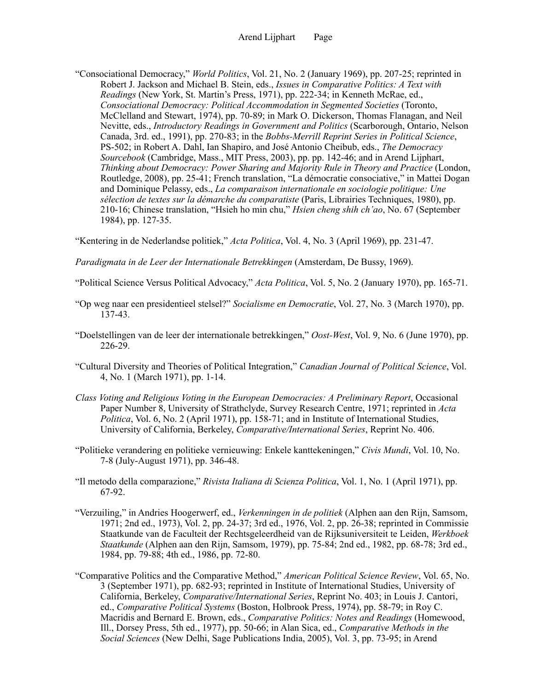"Consociational Democracy," *World Politics*, Vol. 21, No. 2 (January 1969), pp. 207-25; reprinted in Robert J. Jackson and Michael B. Stein, eds., *Issues in Comparative Politics: A Text with Readings* (New York, St. Martin's Press, 1971), pp. 222-34; in Kenneth McRae, ed., *Consociational Democracy: Political Accommodation in Segmented Societies* (Toronto, McClelland and Stewart, 1974), pp. 70-89; in Mark O. Dickerson, Thomas Flanagan, and Neil Nevitte, eds., *Introductory Readings in Government and Politics* (Scarborough, Ontario, Nelson Canada, 3rd. ed., 1991), pp. 270-83; in the *Bobbs-Merrill Reprint Series in Political Science*, PS-502; in Robert A. Dahl, Ian Shapiro, and José Antonio Cheibub, eds., *The Democracy Sourcebook* (Cambridge, Mass., MIT Press, 2003), pp. pp. 142-46; and in Arend Lijphart, *Thinking about Democracy: Power Sharing and Majority Rule in Theory and Practice* (London, Routledge, 2008), pp. 25-41; French translation, "La démocratie consociative," in Mattei Dogan and Dominique Pelassy, eds., *La comparaison internationale en sociologie politique: Une sélection de textes sur la démarche du comparatiste* (Paris, Librairies Techniques, 1980), pp. 210-16; Chinese translation, "Hsieh ho min chu," *Hsien cheng shih ch'ao*, No. 67 (September 1984), pp. 127-35.

"Kentering in de Nederlandse politiek," *Acta Politica*, Vol. 4, No. 3 (April 1969), pp. 231-47.

*Paradigmata in de Leer der Internationale Betrekkingen* (Amsterdam, De Bussy, 1969).

- "Political Science Versus Political Advocacy," *Acta Politica*, Vol. 5, No. 2 (January 1970), pp. 165-71.
- "Op weg naar een presidentieel stelsel?" *Socialisme en Democratie*, Vol. 27, No. 3 (March 1970), pp. 137-43.
- "Doelstellingen van de leer der internationale betrekkingen," *Oost-West*, Vol. 9, No. 6 (June 1970), pp. 226-29.
- "Cultural Diversity and Theories of Political Integration," *Canadian Journal of Political Science*, Vol. 4, No. 1 (March 1971), pp. 1-14.
- *Class Voting and Religious Voting in the European Democracies: A Preliminary Report*, Occasional Paper Number 8, University of Strathclyde, Survey Research Centre, 1971; reprinted in *Acta Politica*, Vol. 6, No. 2 (April 1971), pp. 158-71; and in Institute of International Studies, University of California, Berkeley, *Comparative/International Series*, Reprint No. 406.
- "Politieke verandering en politieke vernieuwing: Enkele kanttekeningen," *Civis Mundi*, Vol. 10, No. 7-8 (July-August 1971), pp. 346-48.
- "Il metodo della comparazione," *Rivista Italiana di Scienza Politica*, Vol. 1, No. 1 (April 1971), pp. 67-92.
- "Verzuiling," in Andries Hoogerwerf, ed., *Verkenningen in de politiek* (Alphen aan den Rijn, Samsom, 1971; 2nd ed., 1973), Vol. 2, pp. 24-37; 3rd ed., 1976, Vol. 2, pp. 26-38; reprinted in Commissie Staatkunde van de Faculteit der Rechtsgeleerdheid van de Rijksuniversiteit te Leiden, *Werkboek Staatkunde* (Alphen aan den Rijn, Samsom, 1979), pp. 75-84; 2nd ed., 1982, pp. 68-78; 3rd ed., 1984, pp. 79-88; 4th ed., 1986, pp. 72-80.
- "Comparative Politics and the Comparative Method," *American Political Science Review*, Vol. 65, No. 3 (September 1971), pp. 682-93; reprinted in Institute of International Studies, University of California, Berkeley, *Comparative/International Series*, Reprint No. 403; in Louis J. Cantori, ed., *Comparative Political Systems* (Boston, Holbrook Press, 1974), pp. 58-79; in Roy C. Macridis and Bernard E. Brown, eds., *Comparative Politics: Notes and Readings* (Homewood, Ill., Dorsey Press, 5th ed., 1977), pp. 50-66; in Alan Sica, ed., *Comparative Methods in the Social Sciences* (New Delhi, Sage Publications India, 2005), Vol. 3, pp. 73-95; in Arend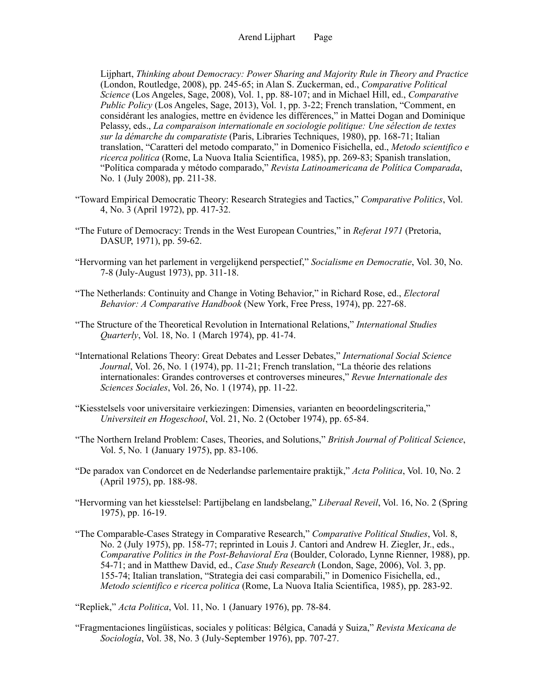Lijphart, *Thinking about Democracy: Power Sharing and Majority Rule in Theory and Practice* (London, Routledge, 2008), pp. 245-65; in Alan S. Zuckerman, ed., *Comparative Political Science* (Los Angeles, Sage, 2008), Vol. 1, pp. 88-107; and in Michael Hill, ed., *Comparative Public Policy* (Los Angeles, Sage, 2013), Vol. 1, pp. 3-22; French translation, "Comment, en considérant les analogies, mettre en évidence les différences," in Mattei Dogan and Dominique Pelassy, eds., *La comparaison internationale en sociologie politique: Une sélection de textes sur la démarche du comparatiste* (Paris, Libraries Techniques, 1980), pp. 168-71; Italian translation, "Caratteri del metodo comparato," in Domenico Fisichella, ed., *Metodo scientifico e ricerca politica* (Rome, La Nuova Italia Scientifica, 1985), pp. 269-83; Spanish translation, "Política comparada y método comparado," *Revista Latinoamericana de Política Comparada*, No. 1 (July 2008), pp. 211-38.

- "Toward Empirical Democratic Theory: Research Strategies and Tactics," *Comparative Politics*, Vol. 4, No. 3 (April 1972), pp. 417-32.
- "The Future of Democracy: Trends in the West European Countries," in *Referat 1971* (Pretoria, DASUP, 1971), pp. 59-62.
- "Hervorming van het parlement in vergelijkend perspectief," *Socialisme en Democratie*, Vol. 30, No. 7-8 (July-August 1973), pp. 311-18.
- "The Netherlands: Continuity and Change in Voting Behavior," in Richard Rose, ed., *Electoral Behavior: A Comparative Handbook* (New York, Free Press, 1974), pp. 227-68.
- "The Structure of the Theoretical Revolution in International Relations," *International Studies Quarterly*, Vol. 18, No. 1 (March 1974), pp. 41-74.
- "International Relations Theory: Great Debates and Lesser Debates," *International Social Science Journal*, Vol. 26, No. 1 (1974), pp. 11-21; French translation, "La théorie des relations internationales: Grandes controverses et controverses mineures," *Revue Internationale des Sciences Sociales*, Vol. 26, No. 1 (1974), pp. 11-22.
- "Kiesstelsels voor universitaire verkiezingen: Dimensies, varianten en beoordelingscriteria," *Universiteit en Hogeschool*, Vol. 21, No. 2 (October 1974), pp. 65-84.
- "The Northern Ireland Problem: Cases, Theories, and Solutions," *British Journal of Political Science*, Vol. 5, No. 1 (January 1975), pp. 83-106.
- "De paradox van Condorcet en de Nederlandse parlementaire praktijk," *Acta Politica*, Vol. 10, No. 2 (April 1975), pp. 188-98.
- "Hervorming van het kiesstelsel: Partijbelang en landsbelang," *Liberaal Reveil*, Vol. 16, No. 2 (Spring 1975), pp. 16-19.
- "The Comparable-Cases Strategy in Comparative Research," *Comparative Political Studies*, Vol. 8, No. 2 (July 1975), pp. 158-77; reprinted in Louis J. Cantori and Andrew H. Ziegler, Jr., eds., *Comparative Politics in the Post-Behavioral Era* (Boulder, Colorado, Lynne Rienner, 1988), pp. 54-71; and in Matthew David, ed., *Case Study Research* (London, Sage, 2006), Vol. 3, pp. 155-74; Italian translation, "Strategia dei casi comparabili," in Domenico Fisichella, ed., *Metodo scientifico e ricerca politica* (Rome, La Nuova Italia Scientifica, 1985), pp. 283-92.

"Fragmentaciones lingüísticas, sociales y políticas: Bélgica, Canadá y Suiza," *Revista Mexicana de Sociología*, Vol. 38, No. 3 (July-September 1976), pp. 707-27.

<sup>&</sup>quot;Repliek," *Acta Politica*, Vol. 11, No. 1 (January 1976), pp. 78-84.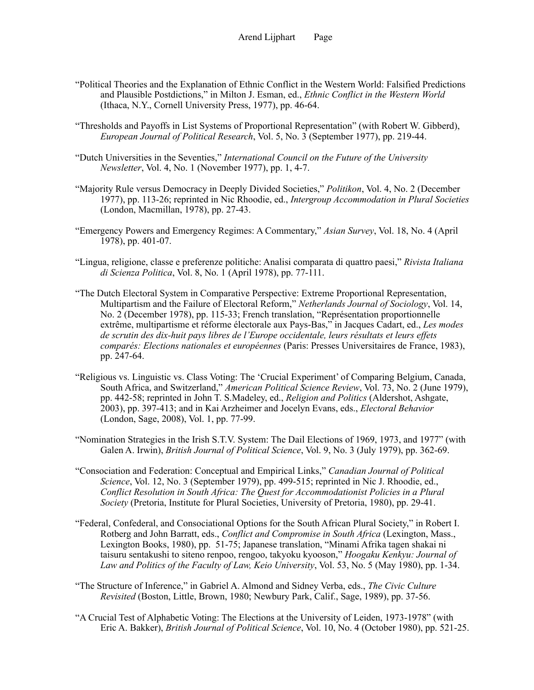- "Political Theories and the Explanation of Ethnic Conflict in the Western World: Falsified Predictions and Plausible Postdictions," in Milton J. Esman, ed., *Ethnic Conflict in the Western World* (Ithaca, N.Y., Cornell University Press, 1977), pp. 46-64.
- "Thresholds and Payoffs in List Systems of Proportional Representation" (with Robert W. Gibberd), *European Journal of Political Research*, Vol. 5, No. 3 (September 1977), pp. 219-44.
- "Dutch Universities in the Seventies," *International Council on the Future of the University Newsletter*, Vol. 4, No. 1 (November 1977), pp. 1, 4-7.
- "Majority Rule versus Democracy in Deeply Divided Societies," *Politikon*, Vol. 4, No. 2 (December 1977), pp. 113-26; reprinted in Nic Rhoodie, ed., *Intergroup Accommodation in Plural Societies* (London, Macmillan, 1978), pp. 27-43.
- "Emergency Powers and Emergency Regimes: A Commentary," *Asian Survey*, Vol. 18, No. 4 (April 1978), pp. 401-07.
- "Lingua, religione, classe e preferenze politiche: Analisi comparata di quattro paesi," *Rivista Italiana di Scienza Politica*, Vol. 8, No. 1 (April 1978), pp. 77-111.
- "The Dutch Electoral System in Comparative Perspective: Extreme Proportional Representation, Multipartism and the Failure of Electoral Reform," *Netherlands Journal of Sociology*, Vol. 14, No. 2 (December 1978), pp. 115-33; French translation, "Représentation proportionnelle extrême, multipartisme et réforme électorale aux Pays-Bas," in Jacques Cadart, ed., *Les modes de scrutin des dix-huit pays libres de l'Europe occidentale, leurs résultats et leurs effets comparés: Elections nationales et européennes* (Paris: Presses Universitaires de France, 1983), pp. 247-64.
- "Religious vs. Linguistic vs. Class Voting: The 'Crucial Experiment' of Comparing Belgium, Canada, South Africa, and Switzerland," *American Political Science Review*, Vol. 73, No. 2 (June 1979), pp. 442-58; reprinted in John T. S.Madeley, ed., *Religion and Politics* (Aldershot, Ashgate, 2003), pp. 397-413; and in Kai Arzheimer and Jocelyn Evans, eds., *Electoral Behavior* (London, Sage, 2008), Vol. 1, pp. 77-99.
- "Nomination Strategies in the Irish S.T.V. System: The Dail Elections of 1969, 1973, and 1977" (with Galen A. Irwin), *British Journal of Political Science*, Vol. 9, No. 3 (July 1979), pp. 362-69.
- "Consociation and Federation: Conceptual and Empirical Links," *Canadian Journal of Political Science*, Vol. 12, No. 3 (September 1979), pp. 499-515; reprinted in Nic J. Rhoodie, ed., *Conflict Resolution in South Africa: The Quest for Accommodationist Policies in a Plural Society* (Pretoria, Institute for Plural Societies, University of Pretoria, 1980), pp. 29-41.
- "Federal, Confederal, and Consociational Options for the South African Plural Society," in Robert I. Rotberg and John Barratt, eds., *Conflict and Compromise in South Africa* (Lexington, Mass., Lexington Books, 1980), pp. 51-75; Japanese translation, "Minami Afrika tagen shakai ni taisuru sentakushi to siteno renpoo, rengoo, takyoku kyooson," *Hoogaku Kenkyu: Journal of Law and Politics of the Faculty of Law, Keio University*, Vol. 53, No. 5 (May 1980), pp. 1-34.
- "The Structure of Inference," in Gabriel A. Almond and Sidney Verba, eds., *The Civic Culture Revisited* (Boston, Little, Brown, 1980; Newbury Park, Calif., Sage, 1989), pp. 37-56.
- "A Crucial Test of Alphabetic Voting: The Elections at the University of Leiden, 1973-1978" (with Eric A. Bakker), *British Journal of Political Science*, Vol. 10, No. 4 (October 1980), pp. 521-25.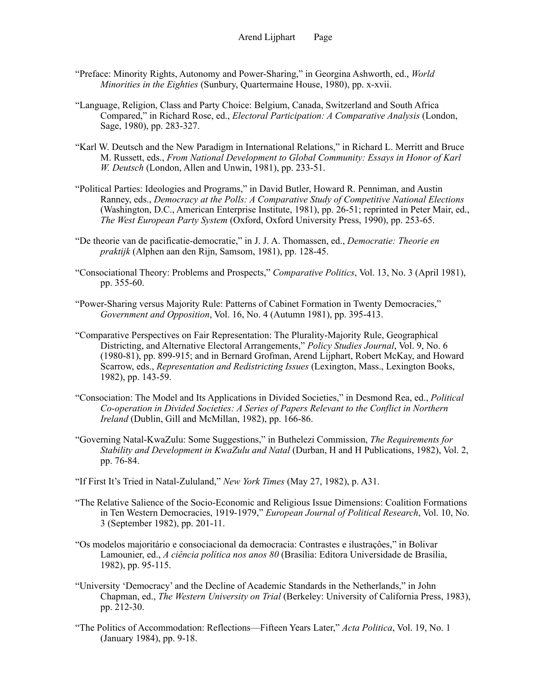- "Preface: Minority Rights, Autonomy and Power-Sharing," in Georgina Ashworth, ed., *World Minorities in the Eighties* (Sunbury, Quartermaine House, 1980), pp. x-xvii.
- "Language, Religion, Class and Party Choice: Belgium, Canada, Switzerland and South Africa Compared," in Richard Rose, ed., *Electoral Participation: A Comparative Analysis* (London, Sage, 1980), pp. 283-327.
- "Karl W. Deutsch and the New Paradigm in International Relations," in Richard L. Merritt and Bruce M. Russett, eds., *From National Development to Global Community: Essays in Honor of Karl W. Deutsch* (London, Allen and Unwin, 1981), pp. 233-51.
- "Political Parties: Ideologies and Programs," in David Butler, Howard R. Penniman, and Austin Ranney, eds., *Democracy at the Polls: A Comparative Study of Competitive National Elections* (Washington, D.C., American Enterprise Institute, 1981), pp. 26-51; reprinted in Peter Mair, ed., *The West European Party System* (Oxford, Oxford University Press, 1990), pp. 253-65.
- "De theorie van de pacificatie-democratie," in J. J. A. Thomassen, ed., *Democratie: Theorie en praktijk* (Alphen aan den Rijn, Samsom, 1981), pp. 128-45.
- "Consociational Theory: Problems and Prospects," *Comparative Politics*, Vol. 13, No. 3 (April 1981), pp. 355-60.
- "Power-Sharing versus Majority Rule: Patterns of Cabinet Formation in Twenty Democracies," *Government and Opposition*, Vol. 16, No. 4 (Autumn 1981), pp. 395-413.
- "Comparative Perspectives on Fair Representation: The Plurality-Majority Rule, Geographical Districting, and Alternative Electoral Arrangements," *Policy Studies Journal*, Vol. 9, No. 6 (1980-81), pp. 899-915; and in Bernard Grofman, Arend Lijphart, Robert McKay, and Howard Scarrow, eds., *Representation and Redistricting Issues* (Lexington, Mass., Lexington Books, 1982), pp. 143-59.
- "Consociation: The Model and Its Applications in Divided Societies," in Desmond Rea, ed., *Political Co-operation in Divided Societies: A Series of Papers Relevant to the Conflict in Northern Ireland* (Dublin, Gill and McMillan, 1982), pp. 166-86.
- "Governing Natal-KwaZulu: Some Suggestions," in Buthelezi Commission, *The Requirements for Stability and Development in KwaZulu and Natal* (Durban, H and H Publications, 1982), Vol. 2, pp. 76-84.
- "If First It's Tried in Natal-Zululand," *New York Times* (May 27, 1982), p. A31.
- "The Relative Salience of the Socio-Economic and Religious Issue Dimensions: Coalition Formations in Ten Western Democracies, 1919-1979," *European Journal of Political Research*, Vol. 10, No. 3 (September 1982), pp. 201-11.
- "Os modelos majoritário e consociacional da democracia: Contrastes e ilustraçôes," in Bolivar Lamounier, ed., *A ciência política nos anos 80* (Brasília: Editora Universidade de Brasília, 1982), pp. 95-115.
- "University 'Democracy' and the Decline of Academic Standards in the Netherlands," in John Chapman, ed., *The Western University on Trial* (Berkeley: University of California Press, 1983), pp. 212-30.
- "The Politics of Accommodation: Reflections—Fifteen Years Later," *Acta Politica*, Vol. 19, No. 1 (January 1984), pp. 9-18.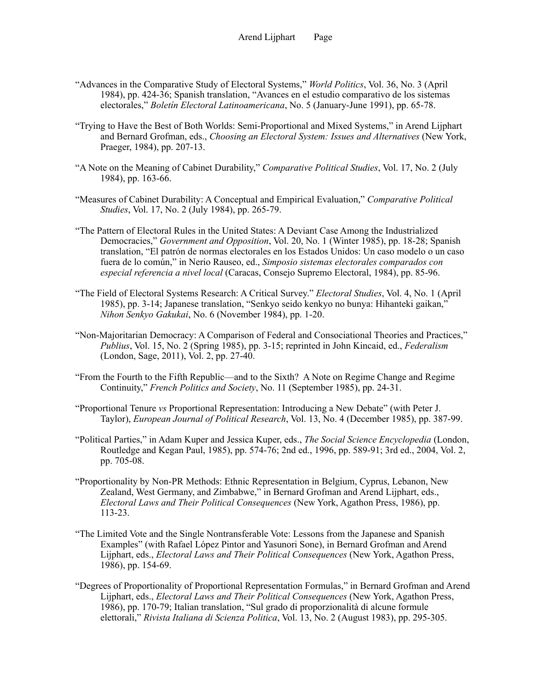- "Advances in the Comparative Study of Electoral Systems," *World Politics*, Vol. 36, No. 3 (April 1984), pp. 424-36; Spanish translation, "Avances en el estudio comparativo de los sistemas electorales," *Boletín Electoral Latinoamericana*, No. 5 (January-June 1991), pp. 65-78.
- "Trying to Have the Best of Both Worlds: Semi-Proportional and Mixed Systems," in Arend Lijphart and Bernard Grofman, eds., *Choosing an Electoral System: Issues and Alternatives* (New York, Praeger, 1984), pp. 207-13.
- "A Note on the Meaning of Cabinet Durability," *Comparative Political Studies*, Vol. 17, No. 2 (July 1984), pp. 163-66.
- "Measures of Cabinet Durability: A Conceptual and Empirical Evaluation," *Comparative Political Studies*, Vol. 17, No. 2 (July 1984), pp. 265-79.
- "The Pattern of Electoral Rules in the United States: A Deviant Case Among the Industrialized Democracies," *Government and Opposition*, Vol. 20, No. 1 (Winter 1985), pp. 18-28; Spanish translation, "El patrón de normas electorales en los Estados Unidos: Un caso modelo o un caso fuera de lo común," in Nerio Rauseo, ed., *Simposio sistemas electorales comparados con especial referencia a nivel local* (Caracas, Consejo Supremo Electoral, 1984), pp. 85-96.
- "The Field of Electoral Systems Research: A Critical Survey." *Electoral Studies*, Vol. 4, No. 1 (April 1985), pp. 3-14; Japanese translation, "Senkyo seido kenkyo no bunya: Hihanteki gaikan," *Nihon Senkyo Gakukai*, No. 6 (November 1984), pp. 1-20.
- "Non-Majoritarian Democracy: A Comparison of Federal and Consociational Theories and Practices," *Publius*, Vol. 15, No. 2 (Spring 1985), pp. 3-15; reprinted in John Kincaid, ed., *Federalism* (London, Sage, 2011), Vol. 2, pp. 27-40.
- "From the Fourth to the Fifth Republic—and to the Sixth? A Note on Regime Change and Regime Continuity," *French Politics and Society*, No. 11 (September 1985), pp. 24-31.
- "Proportional Tenure *vs* Proportional Representation: Introducing a New Debate" (with Peter J. Taylor), *European Journal of Political Research*, Vol. 13, No. 4 (December 1985), pp. 387-99.
- "Political Parties," in Adam Kuper and Jessica Kuper, eds., *The Social Science Encyclopedia* (London, Routledge and Kegan Paul, 1985), pp. 574-76; 2nd ed., 1996, pp. 589-91; 3rd ed., 2004, Vol. 2, pp. 705-08.
- "Proportionality by Non-PR Methods: Ethnic Representation in Belgium, Cyprus, Lebanon, New Zealand, West Germany, and Zimbabwe," in Bernard Grofman and Arend Lijphart, eds., *Electoral Laws and Their Political Consequences* (New York, Agathon Press, 1986), pp. 113-23.
- "The Limited Vote and the Single Nontransferable Vote: Lessons from the Japanese and Spanish Examples" (with Rafael López Pintor and Yasunori Sone), in Bernard Grofman and Arend Lijphart, eds., *Electoral Laws and Their Political Consequences* (New York, Agathon Press, 1986), pp. 154-69.
- "Degrees of Proportionality of Proportional Representation Formulas," in Bernard Grofman and Arend Lijphart, eds., *Electoral Laws and Their Political Consequences* (New York, Agathon Press, 1986), pp. 170-79; Italian translation, "Sul grado di proporzionalità di alcune formule elettorali," *Rivista Italiana di Scienza Politica*, Vol. 13, No. 2 (August 1983), pp. 295-305.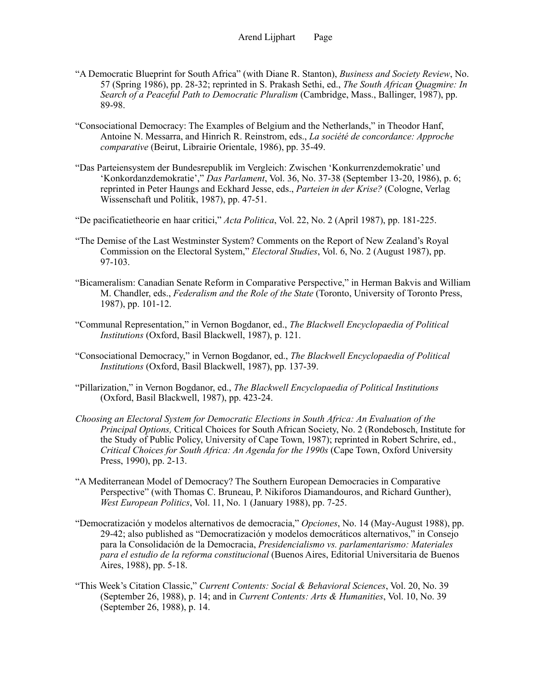- "A Democratic Blueprint for South Africa" (with Diane R. Stanton), *Business and Society Review*, No. 57 (Spring 1986), pp. 28-32; reprinted in S. Prakash Sethi, ed., *The South African Quagmire: In Search of a Peaceful Path to Democratic Pluralism* (Cambridge, Mass., Ballinger, 1987), pp. 89-98.
- "Consociational Democracy: The Examples of Belgium and the Netherlands," in Theodor Hanf, Antoine N. Messarra, and Hinrich R. Reinstrom, eds., *La société de concordance: Approche comparative* (Beirut, Librairie Orientale, 1986), pp. 35-49.
- "Das Parteiensystem der Bundesrepublik im Vergleich: Zwischen 'Konkurrenzdemokratie' und 'Konkordanzdemokratie'," *Das Parlament*, Vol. 36, No. 37-38 (September 13-20, 1986), p. 6; reprinted in Peter Haungs and Eckhard Jesse, eds., *Parteien in der Krise?* (Cologne, Verlag Wissenschaft und Politik, 1987), pp. 47-51.

"De pacificatietheorie en haar critici," *Acta Politica*, Vol. 22, No. 2 (April 1987), pp. 181-225.

- "The Demise of the Last Westminster System? Comments on the Report of New Zealand's Royal Commission on the Electoral System," *Electoral Studies*, Vol. 6, No. 2 (August 1987), pp. 97-103.
- "Bicameralism: Canadian Senate Reform in Comparative Perspective," in Herman Bakvis and William M. Chandler, eds., *Federalism and the Role of the State* (Toronto, University of Toronto Press, 1987), pp. 101-12.
- "Communal Representation," in Vernon Bogdanor, ed., *The Blackwell Encyclopaedia of Political Institutions* (Oxford, Basil Blackwell, 1987), p. 121.
- "Consociational Democracy," in Vernon Bogdanor, ed., *The Blackwell Encyclopaedia of Political Institutions* (Oxford, Basil Blackwell, 1987), pp. 137-39.
- "Pillarization," in Vernon Bogdanor, ed., *The Blackwell Encyclopaedia of Political Institutions* (Oxford, Basil Blackwell, 1987), pp. 423-24.
- *Choosing an Electoral System for Democratic Elections in South Africa: An Evaluation of the Principal Options,* Critical Choices for South African Society, No. 2 (Rondebosch, Institute for the Study of Public Policy, University of Cape Town, 1987); reprinted in Robert Schrire, ed., *Critical Choices for South Africa: An Agenda for the 1990s* (Cape Town, Oxford University Press, 1990), pp. 2-13.
- "A Mediterranean Model of Democracy? The Southern European Democracies in Comparative Perspective" (with Thomas C. Bruneau, P. Nikiforos Diamandouros, and Richard Gunther), *West European Politics*, Vol. 11, No. 1 (January 1988), pp. 7-25.
- "Democratización y modelos alternativos de democracia," *Opciones*, No. 14 (May-August 1988), pp. 29-42; also published as "Democratización y modelos democráticos alternativos," in Consejo para la Consolidación de la Democracia, *Presidencialismo vs. parlamentarismo: Materiales para el estudio de la reforma constitucional* (Buenos Aires, Editorial Universitaria de Buenos Aires, 1988), pp. 5-18.
- "This Week's Citation Classic," *Current Contents: Social & Behavioral Sciences*, Vol. 20, No. 39 (September 26, 1988), p. 14; and in *Current Contents: Arts & Humanities*, Vol. 10, No. 39 (September 26, 1988), p. 14.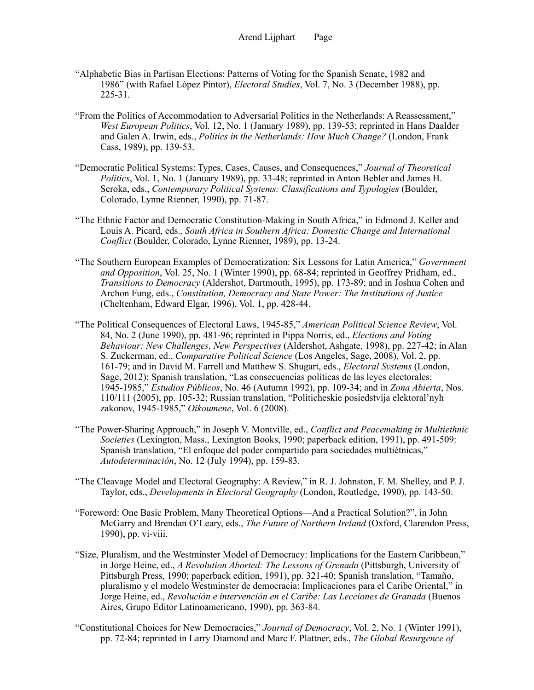- "Alphabetic Bias in Partisan Elections: Patterns of Voting for the Spanish Senate, 1982 and 1986" (with Rafael López Pintor), *Electoral Studies*, Vol. 7, No. 3 (December 1988), pp. 225-31.
- "From the Politics of Accommodation to Adversarial Politics in the Netherlands: A Reassessment," *West European Politics*, Vol. 12, No. 1 (January 1989), pp. 139-53; reprinted in Hans Daalder and Galen A. Irwin, eds., *Politics in the Netherlands: How Much Change?* (London, Frank Cass, 1989), pp. 139-53.
- "Democratic Political Systems: Types, Cases, Causes, and Consequences," *Journal of Theoretical Politics*, Vol. 1, No. 1 (January 1989), pp. 33-48; reprinted in Anton Bebler and James H. Seroka, eds., *Contemporary Political Systems: Classifications and Typologies* (Boulder, Colorado, Lynne Rienner, 1990), pp. 71-87.
- "The Ethnic Factor and Democratic Constitution-Making in South Africa," in Edmond J. Keller and Louis A. Picard, eds., *South Africa in Southern Africa: Domestic Change and International Conflict* (Boulder, Colorado, Lynne Rienner, 1989), pp. 13-24.
- "The Southern European Examples of Democratization: Six Lessons for Latin America," *Government and Opposition*, Vol. 25, No. 1 (Winter 1990), pp. 68-84; reprinted in Geoffrey Pridham, ed., *Transitions to Democracy* (Aldershot, Dartmouth, 1995), pp. 173-89; and in Joshua Cohen and Archon Fung, eds., *Constitution, Democracy and State Power: The Institutions of Justice* (Cheltenham, Edward Elgar, 1996), Vol. 1, pp. 428-44.
- "The Political Consequences of Electoral Laws, 1945-85," *American Political Science Review*, Vol. 84, No. 2 (June 1990), pp. 481-96; reprinted in Pippa Norris, ed., *Elections and Voting Behaviour: New Challenges, New Perspectives* (Aldershot, Ashgate, 1998), pp. 227-42; in Alan S. Zuckerman, ed., *Comparative Political Science* (Los Angeles, Sage, 2008), Vol. 2, pp. 161-79; and in David M. Farrell and Matthew S. Shugart, eds., *Electoral Systems* (London, Sage, 2012); Spanish translation, "Las consecuencias políticas de las leyes electorales: 1945-1985," *Estudios Públicos*, No. 46 (Autumn 1992), pp. 109-34; and in *Zona Abierta*, Nos. 110/111 (2005), pp. 105-32; Russian translation, "Politicheskie posiedstvija elektoral'nyh zakonov, 1945-1985," *Oikoumene*, Vol. 6 (2008).
- "The Power-Sharing Approach," in Joseph V. Montville, ed., *Conflict and Peacemaking in Multiethnic Societies* (Lexington, Mass., Lexington Books, 1990; paperback edition, 1991), pp. 491-509: Spanish translation, "El enfoque del poder compartido para sociedades multiétnicas," *Autodeterminación*, No. 12 (July 1994), pp. 159-83.
- "The Cleavage Model and Electoral Geography: A Review," in R. J. Johnston, F. M. Shelley, and P. J. Taylor, eds., *Developments in Electoral Geography* (London, Routledge, 1990), pp. 143-50.
- "Foreword: One Basic Problem, Many Theoretical Options—And a Practical Solution?", in John McGarry and Brendan O'Leary, eds., *The Future of Northern Ireland* (Oxford, Clarendon Press, 1990), pp. vi-viii.
- "Size, Pluralism, and the Westminster Model of Democracy: Implications for the Eastern Caribbean," in Jorge Heine, ed., *A Revolution Aborted: The Lessons of Grenada* (Pittsburgh, University of Pittsburgh Press, 1990; paperback edition, 1991), pp. 321-40; Spanish translation, "Tamaño, pluralismo y el modelo Westminster de democracia: Implicaciones para el Caribe Oriental," in Jorge Heine, ed., *Revolución e intervención en el Caribe: Las Lecciones de Granada* (Buenos Aires, Grupo Editor Latinoamericano, 1990), pp. 363-84.
- "Constitutional Choices for New Democracies," *Journal of Democracy*, Vol. 2, No. 1 (Winter 1991), pp. 72-84; reprinted in Larry Diamond and Marc F. Plattner, eds., *The Global Resurgence of*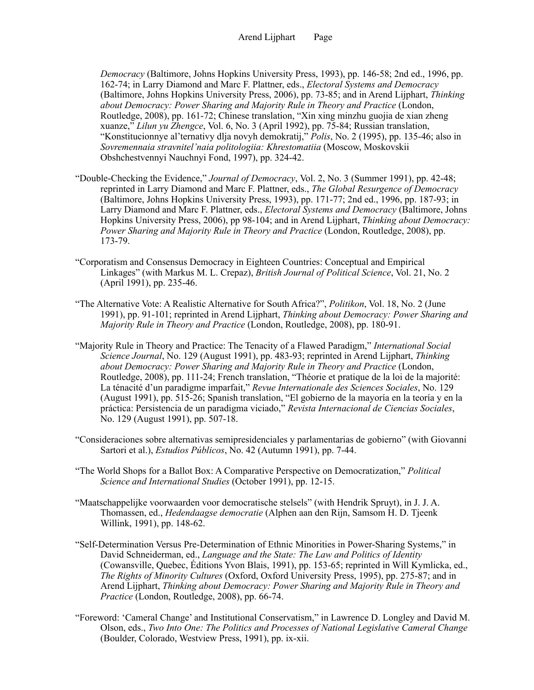*Democracy* (Baltimore, Johns Hopkins University Press, 1993), pp. 146-58; 2nd ed., 1996, pp. 162-74; in Larry Diamond and Marc F. Plattner, eds., *Electoral Systems and Democracy* (Baltimore, Johns Hopkins University Press, 2006), pp. 73-85; and in Arend Lijphart, *Thinking about Democracy: Power Sharing and Majority Rule in Theory and Practice* (London, Routledge, 2008), pp. 161-72; Chinese translation, "Xin xing minzhu guojia de xian zheng xuanze," *Lilun yu Zhengce*, Vol. 6, No. 3 (April 1992), pp. 75-84; Russian translation, "Konstitucionnye al'ternativy dlja novyh demokratij," *Polis*, No. 2 (1995), pp. 135-46; also in *Sovremennaia stravnitel'naia politologiia: Khrestomatiia* (Moscow, Moskovskii Obshchestvennyi Nauchnyi Fond, 1997), pp. 324-42.

- "Double-Checking the Evidence," *Journal of Democracy*, Vol. 2, No. 3 (Summer 1991), pp. 42-48; reprinted in Larry Diamond and Marc F. Plattner, eds., *The Global Resurgence of Democracy* (Baltimore, Johns Hopkins University Press, 1993), pp. 171-77; 2nd ed., 1996, pp. 187-93; in Larry Diamond and Marc F. Plattner, eds., *Electoral Systems and Democracy* (Baltimore, Johns Hopkins University Press, 2006), pp 98-104; and in Arend Lijphart, *Thinking about Democracy: Power Sharing and Majority Rule in Theory and Practice* (London, Routledge, 2008), pp. 173-79.
- "Corporatism and Consensus Democracy in Eighteen Countries: Conceptual and Empirical Linkages" (with Markus M. L. Crepaz), *British Journal of Political Science*, Vol. 21, No. 2 (April 1991), pp. 235-46.
- "The Alternative Vote: A Realistic Alternative for South Africa?", *Politikon*, Vol. 18, No. 2 (June 1991), pp. 91-101; reprinted in Arend Lijphart, *Thinking about Democracy: Power Sharing and Majority Rule in Theory and Practice* (London, Routledge, 2008), pp. 180-91.
- "Majority Rule in Theory and Practice: The Tenacity of a Flawed Paradigm," *International Social Science Journal*, No. 129 (August 1991), pp. 483-93; reprinted in Arend Lijphart, *Thinking about Democracy: Power Sharing and Majority Rule in Theory and Practice* (London, Routledge, 2008), pp. 111-24; French translation, "Théorie et pratique de la loi de la majorité: La ténacité d'un paradigme imparfait," *Revue Internationale des Sciences Sociales*, No. 129 (August 1991), pp. 515-26; Spanish translation, "El gobierno de la mayoría en la teoría y en la práctica: Persistencia de un paradigma viciado," *Revista Internacional de Ciencias Sociales*, No. 129 (August 1991), pp. 507-18.
- "Consideraciones sobre alternativas semipresidenciales y parlamentarias de gobierno" (with Giovanni Sartori et al.), *Estudios Públicos*, No. 42 (Autumn 1991), pp. 7-44.
- "The World Shops for a Ballot Box: A Comparative Perspective on Democratization," *Political Science and International Studies* (October 1991), pp. 12-15.
- "Maatschappelijke voorwaarden voor democratische stelsels" (with Hendrik Spruyt), in J. J. A. Thomassen, ed., *Hedendaagse democratie* (Alphen aan den Rijn, Samsom H. D. Tjeenk Willink, 1991), pp. 148-62.
- "Self-Determination Versus Pre-Determination of Ethnic Minorities in Power-Sharing Systems," in David Schneiderman, ed., *Language and the State: The Law and Politics of Identity* (Cowansville, Quebec, Éditions Yvon Blais, 1991), pp. 153-65; reprinted in Will Kymlicka, ed., *The Rights of Minority Cultures* (Oxford, Oxford University Press, 1995), pp. 275-87; and in Arend Lijphart, *Thinking about Democracy: Power Sharing and Majority Rule in Theory and Practice* (London, Routledge, 2008), pp. 66-74.
- "Foreword: 'Cameral Change' and Institutional Conservatism," in Lawrence D. Longley and David M. Olson, eds., *Two Into One: The Politics and Processes of National Legislative Cameral Change* (Boulder, Colorado, Westview Press, 1991), pp. ix-xii.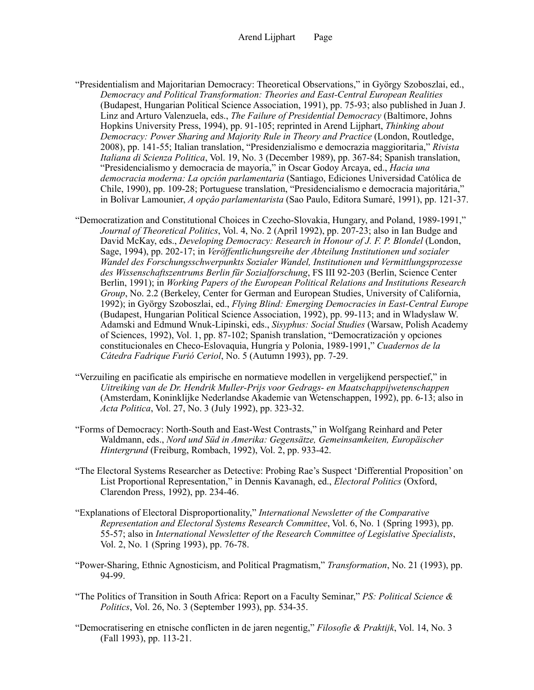- "Presidentialism and Majoritarian Democracy: Theoretical Observations," in György Szoboszlai, ed., *Democracy and Political Transformation: Theories and East-Central European Realities* (Budapest, Hungarian Political Science Association, 1991), pp. 75-93; also published in Juan J. Linz and Arturo Valenzuela, eds., *The Failure of Presidential Democracy* (Baltimore, Johns Hopkins University Press, 1994), pp. 91-105; reprinted in Arend Lijphart, *Thinking about Democracy: Power Sharing and Majority Rule in Theory and Practice* (London, Routledge, 2008), pp. 141-55; Italian translation, "Presidenzialismo e democrazia maggioritaria," *Rivista Italiana di Scienza Politica*, Vol. 19, No. 3 (December 1989), pp. 367-84; Spanish translation, "Presidencialismo y democracia de mayoría," in Oscar Godoy Arcaya, ed., *Hacia una democracia moderna: La opción parlamentaria* (Santiago, Ediciones Universidad Católica de Chile, 1990), pp. 109-28; Portuguese translation, "Presidencialismo e democracia majoritária," in Bolívar Lamounier, *A opçâo parlamentarista* (Sao Paulo, Editora Sumaré, 1991), pp. 121-37.
- "Democratization and Constitutional Choices in Czecho-Slovakia, Hungary, and Poland, 1989-1991," *Journal of Theoretical Politics*, Vol. 4, No. 2 (April 1992), pp. 207-23; also in Ian Budge and David McKay, eds., *Developing Democracy: Research in Honour of J. F. P. Blondel* (London, Sage, 1994), pp. 202-17; in *Veröffentlichungsreihe der Abteilung Institutionen und sozialer Wandel des Forschungsschwerpunkts Sozialer Wandel, Institutionen und Vermittlungsprozesse des Wissenschaftszentrums Berlin für Sozialforschung*, FS III 92-203 (Berlin, Science Center Berlin, 1991); in *Working Papers of the European Political Relations and Institutions Research Group*, No. 2.2 (Berkeley, Center for German and European Studies, University of California, 1992); in György Szoboszlai, ed., *Flying Blind: Emerging Democracies in East-Central Europe* (Budapest, Hungarian Political Science Association, 1992), pp. 99-113; and in Wladyslaw W. Adamski and Edmund Wnuk-Lipinski, eds., *Sisyphus: Social Studies* (Warsaw, Polish Academy of Sciences, 1992), Vol. 1, pp. 87-102; Spanish translation, "Democratización y opciones constitucionales en Checo-Eslovaquia, Hungría y Polonia, 1989-1991," *Cuadernos de la Cátedra Fadrique Furió Ceriol*, No. 5 (Autumn 1993), pp. 7-29.
- "Verzuiling en pacificatie als empirische en normatieve modellen in vergelijkend perspectief," in *Uitreiking van de Dr. Hendrik Muller-Prijs voor Gedrags- en Maatschappijwetenschappen* (Amsterdam, Koninklijke Nederlandse Akademie van Wetenschappen, 1992), pp. 6-13; also in *Acta Politica*, Vol. 27, No. 3 (July 1992), pp. 323-32.
- "Forms of Democracy: North-South and East-West Contrasts," in Wolfgang Reinhard and Peter Waldmann, eds., *Nord und Süd in Amerika: Gegensätze, Gemeinsamkeiten, Europäischer Hintergrund* (Freiburg, Rombach, 1992), Vol. 2, pp. 933-42.
- "The Electoral Systems Researcher as Detective: Probing Rae's Suspect 'Differential Proposition' on List Proportional Representation," in Dennis Kavanagh, ed., *Electoral Politics* (Oxford, Clarendon Press, 1992), pp. 234-46.
- "Explanations of Electoral Disproportionality," *International Newsletter of the Comparative Representation and Electoral Systems Research Committee*, Vol. 6, No. 1 (Spring 1993), pp. 55-57; also in *International Newsletter of the Research Committee of Legislative Specialists*, Vol. 2, No. 1 (Spring 1993), pp. 76-78.
- "Power-Sharing, Ethnic Agnosticism, and Political Pragmatism," *Transformation*, No. 21 (1993), pp. 94-99.
- "The Politics of Transition in South Africa: Report on a Faculty Seminar," *PS: Political Science & Politics*, Vol. 26, No. 3 (September 1993), pp. 534-35.
- "Democratisering en etnische conflicten in de jaren negentig," *Filosofie & Praktijk*, Vol. 14, No. 3 (Fall 1993), pp. 113-21.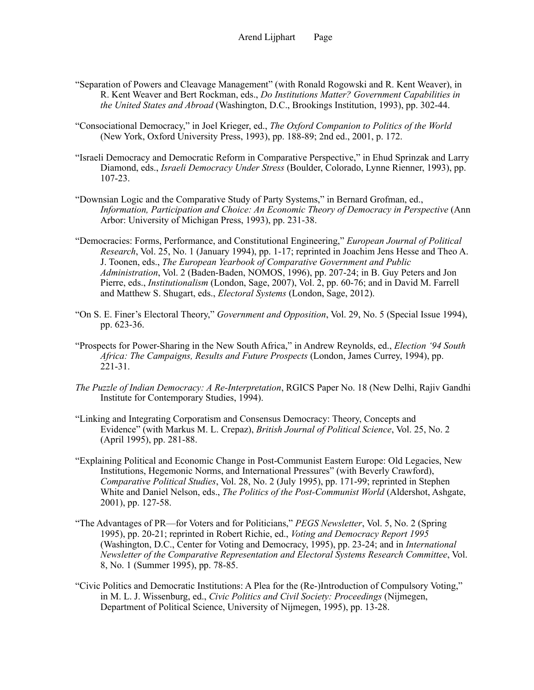- "Separation of Powers and Cleavage Management" (with Ronald Rogowski and R. Kent Weaver), in R. Kent Weaver and Bert Rockman, eds., *Do Institutions Matter? Government Capabilities in the United States and Abroad* (Washington, D.C., Brookings Institution, 1993), pp. 302-44.
- "Consociational Democracy," in Joel Krieger, ed., *The Oxford Companion to Politics of the World* (New York, Oxford University Press, 1993), pp. 188-89; 2nd ed., 2001, p. 172.
- "Israeli Democracy and Democratic Reform in Comparative Perspective," in Ehud Sprinzak and Larry Diamond, eds., *Israeli Democracy Under Stress* (Boulder, Colorado, Lynne Rienner, 1993), pp. 107-23.
- "Downsian Logic and the Comparative Study of Party Systems," in Bernard Grofman, ed., *Information, Participation and Choice: An Economic Theory of Democracy in Perspective* (Ann Arbor: University of Michigan Press, 1993), pp. 231-38.
- "Democracies: Forms, Performance, and Constitutional Engineering," *European Journal of Political Research*, Vol. 25, No. 1 (January 1994), pp. 1-17; reprinted in Joachim Jens Hesse and Theo A. J. Toonen, eds., *The European Yearbook of Comparative Government and Public Administration*, Vol. 2 (Baden-Baden, NOMOS, 1996), pp. 207-24; in B. Guy Peters and Jon Pierre, eds., *Institutionalism* (London, Sage, 2007), Vol. 2, pp. 60-76; and in David M. Farrell and Matthew S. Shugart, eds., *Electoral Systems* (London, Sage, 2012).
- "On S. E. Finer's Electoral Theory," *Government and Opposition*, Vol. 29, No. 5 (Special Issue 1994), pp. 623-36.
- "Prospects for Power-Sharing in the New South Africa," in Andrew Reynolds, ed., *Election '94 South Africa: The Campaigns, Results and Future Prospects* (London, James Currey, 1994), pp. 221-31.
- *The Puzzle of Indian Democracy: A Re-Interpretation*, RGICS Paper No. 18 (New Delhi, Rajiv Gandhi Institute for Contemporary Studies, 1994).
- "Linking and Integrating Corporatism and Consensus Democracy: Theory, Concepts and Evidence" (with Markus M. L. Crepaz), *British Journal of Political Science*, Vol. 25, No. 2 (April 1995), pp. 281-88.
- "Explaining Political and Economic Change in Post-Communist Eastern Europe: Old Legacies, New Institutions, Hegemonic Norms, and International Pressures" (with Beverly Crawford), *Comparative Political Studies*, Vol. 28, No. 2 (July 1995), pp. 171-99; reprinted in Stephen White and Daniel Nelson, eds., *The Politics of the Post-Communist World* (Aldershot, Ashgate, 2001), pp. 127-58.
- "The Advantages of PR—for Voters and for Politicians," *PEGS Newsletter*, Vol. 5, No. 2 (Spring 1995), pp. 20-21; reprinted in Robert Richie, ed., *Voting and Democracy Report 1995* (Washington, D.C., Center for Voting and Democracy, 1995), pp. 23-24; and in *International Newsletter of the Comparative Representation and Electoral Systems Research Committee*, Vol. 8, No. 1 (Summer 1995), pp. 78-85.
- "Civic Politics and Democratic Institutions: A Plea for the (Re-)Introduction of Compulsory Voting," in M. L. J. Wissenburg, ed., *Civic Politics and Civil Society: Proceedings* (Nijmegen, Department of Political Science, University of Nijmegen, 1995), pp. 13-28.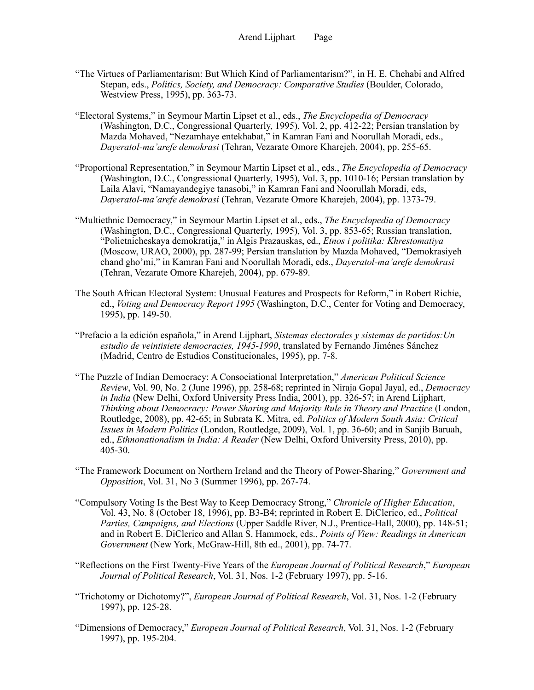- "The Virtues of Parliamentarism: But Which Kind of Parliamentarism?", in H. E. Chehabi and Alfred Stepan, eds., *Politics, Society, and Democracy: Comparative Studies* (Boulder, Colorado, Westview Press, 1995), pp. 363-73.
- "Electoral Systems," in Seymour Martin Lipset et al., eds., *The Encyclopedia of Democracy* (Washington, D.C., Congressional Quarterly, 1995), Vol. 2, pp. 412-22; Persian translation by Mazda Mohaved, "Nezamhaye entekhabat," in Kamran Fani and Noorullah Moradi, eds., *Dayeratol-ma'arefe demokrasi* (Tehran, Vezarate Omore Kharejeh, 2004), pp. 255-65.
- "Proportional Representation," in Seymour Martin Lipset et al., eds., *The Encyclopedia of Democracy* (Washington, D.C., Congressional Quarterly, 1995), Vol. 3, pp. 1010-16; Persian translation by Laila Alavi, "Namayandegiye tanasobi," in Kamran Fani and Noorullah Moradi, eds, *Dayeratol-ma'arefe demokrasi* (Tehran, Vezarate Omore Kharejeh, 2004), pp. 1373-79.
- "Multiethnic Democracy," in Seymour Martin Lipset et al., eds., *The Encyclopedia of Democracy* (Washington, D.C., Congressional Quarterly, 1995), Vol. 3, pp. 853-65; Russian translation, "Polietnicheskaya demokratija," in Algis Prazauskas, ed., *Etnos i politika: Khrestomatiya* (Moscow, URAO, 2000), pp. 287-99; Persian translation by Mazda Mohaved, "Demokrasiyeh chand gho'mi," in Kamran Fani and Noorullah Moradi, eds., *Dayeratol-ma'arefe demokrasi* (Tehran, Vezarate Omore Kharejeh, 2004), pp. 679-89.
- The South African Electoral System: Unusual Features and Prospects for Reform," in Robert Richie, ed., *Voting and Democracy Report 1995* (Washington, D.C., Center for Voting and Democracy, 1995), pp. 149-50.
- "Prefacio a la edición española," in Arend Lijphart, *Sistemas electorales y sistemas de partidos:Un estudio de veintisiete democracies, 1945-1990*, translated by Fernando Jiménes Sánchez (Madrid, Centro de Estudios Constitucionales, 1995), pp. 7-8.
- "The Puzzle of Indian Democracy: A Consociational Interpretation," *American Political Science Review*, Vol. 90, No. 2 (June 1996), pp. 258-68; reprinted in Niraja Gopal Jayal, ed., *Democracy in India* (New Delhi, Oxford University Press India, 2001), pp. 326-57; in Arend Lijphart, *Thinking about Democracy: Power Sharing and Majority Rule in Theory and Practice* (London, Routledge, 2008), pp. 42-65; in Subrata K. Mitra, ed. *Politics of Modern South Asia: Critical Issues in Modern Politics* (London, Routledge, 2009), Vol. 1, pp. 36-60; and in Sanjib Baruah, ed., *Ethnonationalism in India: A Reader* (New Delhi, Oxford University Press, 2010), pp. 405-30.
- "The Framework Document on Northern Ireland and the Theory of Power-Sharing," *Government and Opposition*, Vol. 31, No 3 (Summer 1996), pp. 267-74.
- "Compulsory Voting Is the Best Way to Keep Democracy Strong," *Chronicle of Higher Education*, Vol. 43, No. 8 (October 18, 1996), pp. B3-B4; reprinted in Robert E. DiClerico, ed., *Political Parties, Campaigns, and Elections* (Upper Saddle River, N.J., Prentice-Hall, 2000), pp. 148-51; and in Robert E. DiClerico and Allan S. Hammock, eds., *Points of View: Readings in American Government* (New York, McGraw-Hill, 8th ed., 2001), pp. 74-77.
- "Reflections on the First Twenty-Five Years of the *European Journal of Political Research*," *European Journal of Political Research*, Vol. 31, Nos. 1-2 (February 1997), pp. 5-16.
- "Trichotomy or Dichotomy?", *European Journal of Political Research*, Vol. 31, Nos. 1-2 (February 1997), pp. 125-28.
- "Dimensions of Democracy," *European Journal of Political Research*, Vol. 31, Nos. 1-2 (February 1997), pp. 195-204.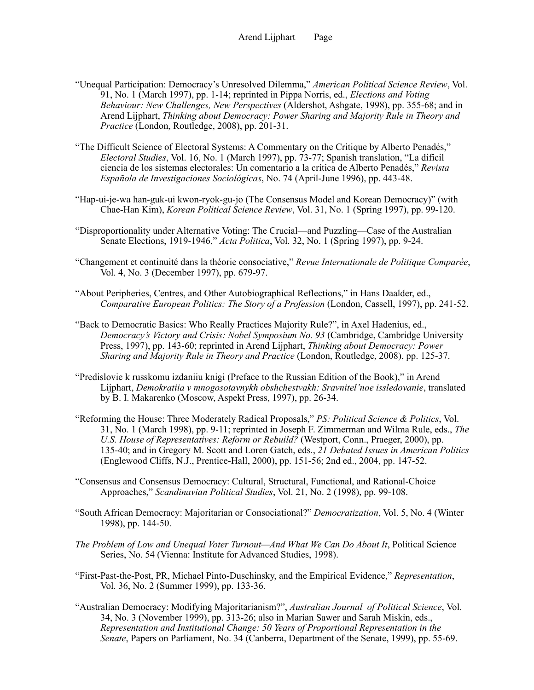- "Unequal Participation: Democracy's Unresolved Dilemma," *American Political Science Review*, Vol. 91, No. 1 (March 1997), pp. 1-14; reprinted in Pippa Norris, ed., *Elections and Voting Behaviour: New Challenges, New Perspectives* (Aldershot, Ashgate, 1998), pp. 355-68; and in Arend Lijphart, *Thinking about Democracy: Power Sharing and Majority Rule in Theory and Practice* (London, Routledge, 2008), pp. 201-31.
- "The Difficult Science of Electoral Systems: A Commentary on the Critique by Alberto Penadés," *Electoral Studies*, Vol. 16, No. 1 (March 1997), pp. 73-77; Spanish translation, "La difícil ciencia de los sistemas electorales: Un comentario a la crítica de Alberto Penadés," *Revista Española de Investigaciones Sociológicas*, No. 74 (April-June 1996), pp. 443-48.
- "Hap-ui-je-wa han-guk-ui kwon-ryok-gu-jo (The Consensus Model and Korean Democracy)" (with Chae-Han Kim), *Korean Political Science Review*, Vol. 31, No. 1 (Spring 1997), pp. 99-120.
- "Disproportionality under Alternative Voting: The Crucial—and Puzzling—Case of the Australian Senate Elections, 1919-1946," *Acta Politica*, Vol. 32, No. 1 (Spring 1997), pp. 9-24.
- "Changement et continuité dans la théorie consociative," *Revue Internationale de Politique Comparée*, Vol. 4, No. 3 (December 1997), pp. 679-97.
- "About Peripheries, Centres, and Other Autobiographical Reflections," in Hans Daalder, ed., *Comparative European Politics: The Story of a Profession* (London, Cassell, 1997), pp. 241-52.
- "Back to Democratic Basics: Who Really Practices Majority Rule?", in Axel Hadenius, ed., *Democracy's Victory and Crisis: Nobel Symposium No. 93* (Cambridge, Cambridge University Press, 1997), pp. 143-60; reprinted in Arend Lijphart, *Thinking about Democracy: Power Sharing and Majority Rule in Theory and Practice* (London, Routledge, 2008), pp. 125-37.
- "Predislovie k russkomu izdaniiu knigi (Preface to the Russian Edition of the Book)," in Arend Lijphart, *Demokratiia v mnogosotavnykh obshchestvakh: Sravnitel'noe issledovanie*, translated by B. I. Makarenko (Moscow, Aspekt Press, 1997), pp. 26-34.
- "Reforming the House: Three Moderately Radical Proposals," *PS: Political Science & Politics*, Vol. 31, No. 1 (March 1998), pp. 9-11; reprinted in Joseph F. Zimmerman and Wilma Rule, eds., *The U.S. House of Representatives: Reform or Rebuild?* (Westport, Conn., Praeger, 2000), pp. 135-40; and in Gregory M. Scott and Loren Gatch, eds., *21 Debated Issues in American Politics* (Englewood Cliffs, N.J., Prentice-Hall, 2000), pp. 151-56; 2nd ed., 2004, pp. 147-52.
- "Consensus and Consensus Democracy: Cultural, Structural, Functional, and Rational-Choice Approaches," *Scandinavian Political Studies*, Vol. 21, No. 2 (1998), pp. 99-108.
- "South African Democracy: Majoritarian or Consociational?" *Democratization*, Vol. 5, No. 4 (Winter 1998), pp. 144-50.
- *The Problem of Low and Unequal Voter Turnout—And What We Can Do About It*, Political Science Series, No. 54 (Vienna: Institute for Advanced Studies, 1998).
- "First-Past-the-Post, PR, Michael Pinto-Duschinsky, and the Empirical Evidence," *Representation*, Vol. 36, No. 2 (Summer 1999), pp. 133-36.
- "Australian Democracy: Modifying Majoritarianism?", *Australian Journal of Political Science*, Vol. 34, No. 3 (November 1999), pp. 313-26; also in Marian Sawer and Sarah Miskin, eds., *Representation and Institutional Change: 50 Years of Proportional Representation in the Senate*, Papers on Parliament, No. 34 (Canberra, Department of the Senate, 1999), pp. 55-69.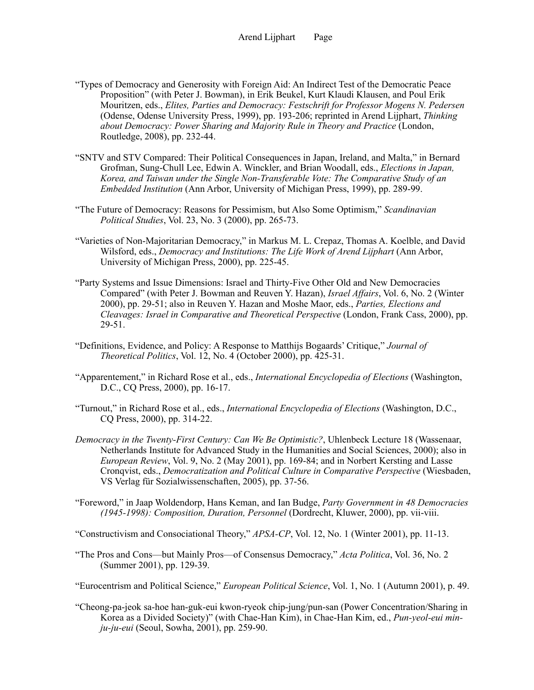- "Types of Democracy and Generosity with Foreign Aid: An Indirect Test of the Democratic Peace Proposition" (with Peter J. Bowman), in Erik Beukel, Kurt Klaudi Klausen, and Poul Erik Mouritzen, eds., *Elites, Parties and Democracy: Festschrift for Professor Mogens N. Pedersen* (Odense, Odense University Press, 1999), pp. 193-206; reprinted in Arend Lijphart, *Thinking about Democracy: Power Sharing and Majority Rule in Theory and Practice* (London, Routledge, 2008), pp. 232-44.
- "SNTV and STV Compared: Their Political Consequences in Japan, Ireland, and Malta," in Bernard Grofman, Sung-Chull Lee, Edwin A. Winckler, and Brian Woodall, eds., *Elections in Japan, Korea, and Taiwan under the Single Non-Transferable Vote: The Comparative Study of an Embedded Institution* (Ann Arbor, University of Michigan Press, 1999), pp. 289-99.
- "The Future of Democracy: Reasons for Pessimism, but Also Some Optimism," *Scandinavian Political Studies*, Vol. 23, No. 3 (2000), pp. 265-73.
- "Varieties of Non-Majoritarian Democracy," in Markus M. L. Crepaz, Thomas A. Koelble, and David Wilsford, eds., *Democracy and Institutions: The Life Work of Arend Lijphart* (Ann Arbor, University of Michigan Press, 2000), pp. 225-45.
- "Party Systems and Issue Dimensions: Israel and Thirty-Five Other Old and New Democracies Compared" (with Peter J. Bowman and Reuven Y. Hazan), *Israel Affairs*, Vol. 6, No. 2 (Winter 2000), pp. 29-51; also in Reuven Y. Hazan and Moshe Maor, eds., *Parties, Elections and Cleavages: Israel in Comparative and Theoretical Perspective* (London, Frank Cass, 2000), pp. 29-51.
- "Definitions, Evidence, and Policy: A Response to Matthijs Bogaards' Critique," *Journal of Theoretical Politics*, Vol. 12, No. 4 (October 2000), pp. 425-31.
- "Apparentement," in Richard Rose et al., eds., *International Encyclopedia of Elections* (Washington, D.C., CQ Press, 2000), pp. 16-17.
- "Turnout," in Richard Rose et al., eds., *International Encyclopedia of Elections* (Washington, D.C., CQ Press, 2000), pp. 314-22.
- *Democracy in the Twenty-First Century: Can We Be Optimistic?*, Uhlenbeck Lecture 18 (Wassenaar, Netherlands Institute for Advanced Study in the Humanities and Social Sciences, 2000); also in *European Review*, Vol. 9, No. 2 (May 2001), pp. 169-84; and in Norbert Kersting and Lasse Cronqvist, eds., *Democratization and Political Culture in Comparative Perspective* (Wiesbaden, VS Verlag für Sozialwissenschaften, 2005), pp. 37-56.
- "Foreword," in Jaap Woldendorp, Hans Keman, and Ian Budge, *Party Government in 48 Democracies (1945-1998): Composition, Duration, Personnel* (Dordrecht, Kluwer, 2000), pp. vii-viii.

"Constructivism and Consociational Theory," *APSA-CP*, Vol. 12, No. 1 (Winter 2001), pp. 11-13.

- "The Pros and Cons—but Mainly Pros—of Consensus Democracy," *Acta Politica*, Vol. 36, No. 2 (Summer 2001), pp. 129-39.
- "Eurocentrism and Political Science," *European Political Science*, Vol. 1, No. 1 (Autumn 2001), p. 49.
- "Cheong-pa-jeok sa-hoe han-guk-eui kwon-ryeok chip-jung/pun-san (Power Concentration/Sharing in Korea as a Divided Society)" (with Chae-Han Kim), in Chae-Han Kim, ed., *Pun-yeol-eui minju-ju-eui* (Seoul, Sowha, 2001), pp. 259-90.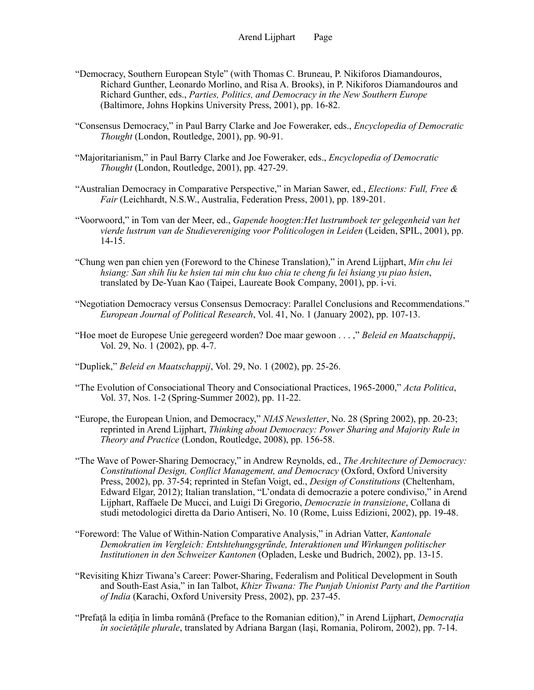- "Democracy, Southern European Style" (with Thomas C. Bruneau, P. Nikiforos Diamandouros, Richard Gunther, Leonardo Morlino, and Risa A. Brooks), in P. Nikiforos Diamandouros and Richard Gunther, eds., *Parties, Politics, and Democracy in the New Southern Europe* (Baltimore, Johns Hopkins University Press, 2001), pp. 16-82.
- "Consensus Democracy," in Paul Barry Clarke and Joe Foweraker, eds., *Encyclopedia of Democratic Thought* (London, Routledge, 2001), pp. 90-91.
- "Majoritarianism," in Paul Barry Clarke and Joe Foweraker, eds., *Encyclopedia of Democratic Thought* (London, Routledge, 2001), pp. 427-29.
- "Australian Democracy in Comparative Perspective," in Marian Sawer, ed., *Elections: Full, Free & Fair* (Leichhardt, N.S.W., Australia, Federation Press, 2001), pp. 189-201.
- "Voorwoord," in Tom van der Meer, ed., *Gapende hoogten:Het lustrumboek ter gelegenheid van het vierde lustrum van de Studievereniging voor Politicologen in Leiden* (Leiden, SPIL, 2001), pp. 14-15.
- "Chung wen pan chien yen (Foreword to the Chinese Translation)," in Arend Lijphart, *Min chu lei hsiang: San shih liu ke hsien tai min chu kuo chia te cheng fu lei hsiang yu piao hsien*, translated by De-Yuan Kao (Taipei, Laureate Book Company, 2001), pp. i-vi.
- "Negotiation Democracy versus Consensus Democracy: Parallel Conclusions and Recommendations." *European Journal of Political Research*, Vol. 41, No. 1 (January 2002), pp. 107-13.
- "Hoe moet de Europese Unie geregeerd worden? Doe maar gewoon . . . ," *Beleid en Maatschappij*, Vol. 29, No. 1 (2002), pp. 4-7.
- "Dupliek," *Beleid en Maatschappij*, Vol. 29, No. 1 (2002), pp. 25-26.
- "The Evolution of Consociational Theory and Consociational Practices, 1965-2000," *Acta Politica*, Vol. 37, Nos. 1-2 (Spring-Summer 2002), pp. 11-22.
- "Europe, the European Union, and Democracy," *NIAS Newsletter*, No. 28 (Spring 2002), pp. 20-23; reprinted in Arend Lijphart, *Thinking about Democracy: Power Sharing and Majority Rule in Theory and Practice* (London, Routledge, 2008), pp. 156-58.
- "The Wave of Power-Sharing Democracy," in Andrew Reynolds, ed., *The Architecture of Democracy: Constitutional Design, Conflict Management, and Democracy* (Oxford, Oxford University Press, 2002), pp. 37-54; reprinted in Stefan Voigt, ed., *Design of Constitutions* (Cheltenham, Edward Elgar, 2012); Italian translation, "L'ondata di democrazie a potere condiviso," in Arend Lijphart, Raffaele De Mucci, and Luigi Di Gregorio, *Democrazie in transizione*, Collana di studi metodologici diretta da Dario Antiseri, No. 10 (Rome, Luiss Edizioni, 2002), pp. 19-48.
- "Foreword: The Value of Within-Nation Comparative Analysis," in Adrian Vatter, *Kantonale Demokratien im Vergleich: Entshtehungsgrűnde, Interaktionen und Wirkungen politischer Institutionen in den Schweizer Kantonen* (Opladen, Leske und Budrich, 2002), pp. 13-15.
- "Revisiting Khizr Tiwana's Career: Power-Sharing, Federalism and Political Development in South and South-East Asia," in Ian Talbot, *Khizr Tiwana: The Punjab Unionist Party and the Partition of India* (Karachi, Oxford University Press, 2002), pp. 237-45.
- "Prefață la ediția în limba română (Preface to the Romanian edition)," in Arend Lijphart, *Democrația în societăţile plurale*, translated by Adriana Bargan (Iaşi, Romania, Polirom, 2002), pp. 7-14.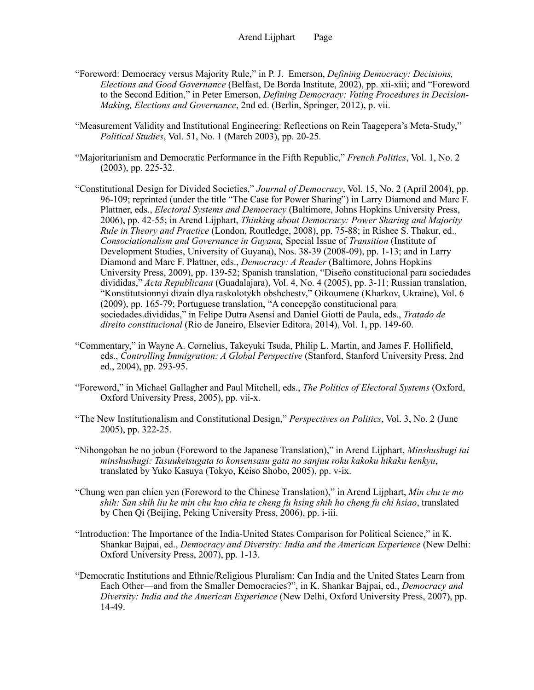- "Foreword: Democracy versus Majority Rule," in P. J. Emerson, *Defining Democracy: Decisions, Elections and Good Governance* (Belfast, De Borda Institute, 2002), pp. xii-xiii; and "Foreword to the Second Edition," in Peter Emerson, *Defining Democracy: Voting Procedures in Decision-Making, Elections and Governance*, 2nd ed. (Berlin, Springer, 2012), p. vii.
- "Measurement Validity and Institutional Engineering: Reflections on Rein Taagepera's Meta-Study," *Political Studies*, Vol. 51, No. 1 (March 2003), pp. 20-25.
- "Majoritarianism and Democratic Performance in the Fifth Republic," *French Politics*, Vol. 1, No. 2 (2003), pp. 225-32.
- "Constitutional Design for Divided Societies," *Journal of Democracy*, Vol. 15, No. 2 (April 2004), pp. 96-109; reprinted (under the title "The Case for Power Sharing") in Larry Diamond and Marc F. Plattner, eds., *Electoral Systems and Democracy* (Baltimore, Johns Hopkins University Press, 2006), pp. 42-55; in Arend Lijphart, *Thinking about Democracy: Power Sharing and Majority Rule in Theory and Practice* (London, Routledge, 2008), pp. 75-88; in Rishee S. Thakur, ed., *Consociationalism and Governance in Guyana,* Special Issue of *Transition* (Institute of Development Studies, University of Guyana), Nos. 38-39 (2008-09), pp. 1-13; and in Larry Diamond and Marc F. Plattner, eds., *Democracy: A Reader* (Baltimore, Johns Hopkins University Press, 2009), pp. 139-52; Spanish translation, "Diseño constitucional para sociedades divididas," *Acta Republicana* (Guadalajara), Vol. 4, No. 4 (2005), pp. 3-11; Russian translation, "Konstitutsionnyi dizain dlya raskolotykh obshchestv," Oikoumene (Kharkov, Ukraine), Vol. 6 (2009), pp. 165-79; Portuguese translation, "A concepção constitucional para sociedades.divididas," in Felipe Dutra Asensi and Daniel Giotti de Paula, eds., *Tratado de direito constitucional* (Rio de Janeiro, Elsevier Editora, 2014), Vol. 1, pp. 149-60.
- "Commentary," in Wayne A. Cornelius, Takeyuki Tsuda, Philip L. Martin, and James F. Hollifield, eds., *Controlling Immigration: A Global Perspective* (Stanford, Stanford University Press, 2nd ed., 2004), pp. 293-95.
- "Foreword," in Michael Gallagher and Paul Mitchell, eds., *The Politics of Electoral Systems* (Oxford, Oxford University Press, 2005), pp. vii-x.
- "The New Institutionalism and Constitutional Design," *Perspectives on Politics*, Vol. 3, No. 2 (June 2005), pp. 322-25.
- "Nihongoban he no jobun (Foreword to the Japanese Translation)," in Arend Lijphart, *Minshushugi tai minshushugi: Tasuuketsugata to konsensasu gata no sanjuu roku kakoku hikaku kenkyu*, translated by Yuko Kasuya (Tokyo, Keiso Shobo, 2005), pp. v-ix.
- "Chung wen pan chien yen (Foreword to the Chinese Translation)," in Arend Lijphart, *Min chu te mo shih: San shih liu ke min chu kuo chia te cheng fu hsing shih ho cheng fu chi hsiao*, translated by Chen Qi (Beijing, Peking University Press, 2006), pp. i-iii.
- "Introduction: The Importance of the India-United States Comparison for Political Science," in K. Shankar Bajpai, ed., *Democracy and Diversity: India and the American Experience* (New Delhi: Oxford University Press, 2007), pp. 1-13.
- "Democratic Institutions and Ethnic/Religious Pluralism: Can India and the United States Learn from Each Other—and from the Smaller Democracies?", in K. Shankar Bajpai, ed., *Democracy and Diversity: India and the American Experience* (New Delhi, Oxford University Press, 2007), pp. 14-49.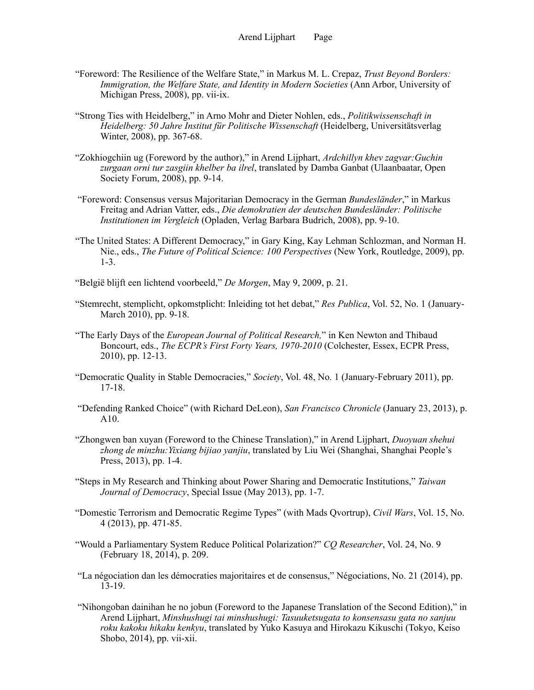- "Foreword: The Resilience of the Welfare State," in Markus M. L. Crepaz, *Trust Beyond Borders: Immigration, the Welfare State, and Identity in Modern Societies* (Ann Arbor, University of Michigan Press, 2008), pp. vii-ix.
- "Strong Ties with Heidelberg," in Arno Mohr and Dieter Nohlen, eds., *Politikwissenschaft in Heidelberg: 50 Jahre Institut für Politische Wissenschaft* (Heidelberg, Universitätsverlag Winter, 2008), pp. 367-68.
- "Zokhiogchiin ug (Foreword by the author)," in Arend Lijphart, *Ardchillyn khev zagvar:Guchin zurgaan orni tur zasgiin khelber ba ilrel*, translated by Damba Ganbat (Ulaanbaatar, Open Society Forum, 2008), pp. 9-14.
- "Foreword: Consensus versus Majoritarian Democracy in the German *Bundesländer*," in Markus Freitag and Adrian Vatter, eds., *Die demokratien der deutschen Bundesländer: Politische Institutionen im Vergleich* (Opladen, Verlag Barbara Budrich, 2008), pp. 9-10.
- "The United States: A Different Democracy," in Gary King, Kay Lehman Schlozman, and Norman H. Nie., eds., *The Future of Political Science: 100 Perspectives* (New York, Routledge, 2009), pp. 1-3.
- "België blijft een lichtend voorbeeld," *De Morgen*, May 9, 2009, p. 21.
- "Stemrecht, stemplicht, opkomstplicht: Inleiding tot het debat," *Res Publica*, Vol. 52, No. 1 (January-March 2010), pp. 9-18.
- "The Early Days of the *European Journal of Political Research,*" in Ken Newton and Thibaud Boncourt, eds., *The ECPR's First Forty Years, 1970-2010* (Colchester, Essex, ECPR Press, 2010), pp. 12-13.
- "Democratic Quality in Stable Democracies," *Society*, Vol. 48, No. 1 (January-February 2011), pp. 17-18.
- "Defending Ranked Choice" (with Richard DeLeon), *San Francisco Chronicle* (January 23, 2013), p. A10.
- "Zhongwen ban xuyan (Foreword to the Chinese Translation)," in Arend Lijphart, *Duoyuan shehui zhong de minzhu:Yixiang bijiao yanjiu*, translated by Liu Wei (Shanghai, Shanghai People's Press, 2013), pp. 1-4.
- "Steps in My Research and Thinking about Power Sharing and Democratic Institutions," *Taiwan Journal of Democracy*, Special Issue (May 2013), pp. 1-7.
- "Domestic Terrorism and Democratic Regime Types" (with Mads Qvortrup), *Civil Wars*, Vol. 15, No. 4 (2013), pp. 471-85.
- "Would a Parliamentary System Reduce Political Polarization?" *CQ Researcher*, Vol. 24, No. 9 (February 18, 2014), p. 209.
- "La négociation dan les démocraties majoritaires et de consensus," Négociations, No. 21 (2014), pp. 13-19.
- "Nihongoban dainihan he no jobun (Foreword to the Japanese Translation of the Second Edition)," in Arend Lijphart, *Minshushugi tai minshushugi: Tasuuketsugata to konsensasu gata no sanjuu roku kakoku hikaku kenkyu*, translated by Yuko Kasuya and Hirokazu Kikuschi (Tokyo, Keiso Shobo, 2014), pp. vii-xii.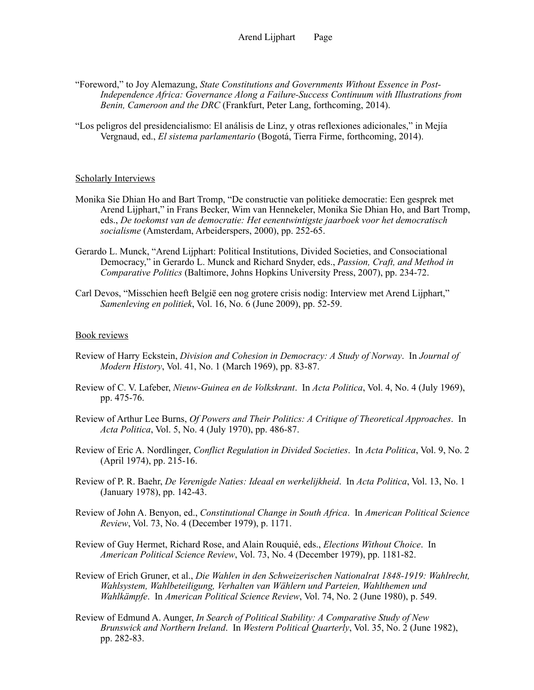- "Foreword," to Joy Alemazung, *State Constitutions and Governments Without Essence in Post-Independence Africa: Governance Along a Failure-Success Continuum with Illustrations from Benin, Cameroon and the DRC* (Frankfurt, Peter Lang, forthcoming, 2014).
- "Los peligros del presidencialismo: El análisis de Linz, y otras reflexiones adicionales," in Mejía Vergnaud, ed., *El sistema parlamentario* (Bogotá, Tierra Firme, forthcoming, 2014).

#### Scholarly Interviews

- Monika Sie Dhian Ho and Bart Tromp, "De constructie van politieke democratie: Een gesprek met Arend Lijphart," in Frans Becker, Wim van Hennekeler, Monika Sie Dhian Ho, and Bart Tromp, eds., *De toekomst van de democratie: Het eenentwintigste jaarboek voor het democratisch socialisme* (Amsterdam, Arbeiderspers, 2000), pp. 252-65.
- Gerardo L. Munck, "Arend Lijphart: Political Institutions, Divided Societies, and Consociational Democracy," in Gerardo L. Munck and Richard Snyder, eds., *Passion, Craft, and Method in Comparative Politics* (Baltimore, Johns Hopkins University Press, 2007), pp. 234-72.
- Carl Devos, "Misschien heeft België een nog grotere crisis nodig: Interview met Arend Lijphart," *Samenleving en politiek*, Vol. 16, No. 6 (June 2009), pp. 52-59.

### Book reviews

- Review of Harry Eckstein, *Division and Cohesion in Democracy: A Study of Norway*. In *Journal of Modern History*, Vol. 41, No. 1 (March 1969), pp. 83-87.
- Review of C. V. Lafeber, *Nieuw-Guinea en de Volkskrant*. In *Acta Politica*, Vol. 4, No. 4 (July 1969), pp. 475-76.
- Review of Arthur Lee Burns, *Of Powers and Their Politics: A Critique of Theoretical Approaches*. In *Acta Politica*, Vol. 5, No. 4 (July 1970), pp. 486-87.
- Review of Eric A. Nordlinger, *Conflict Regulation in Divided Societies*. In *Acta Politica*, Vol. 9, No. 2 (April 1974), pp. 215-16.
- Review of P. R. Baehr, *De Verenigde Naties: Ideaal en werkelijkheid*. In *Acta Politica*, Vol. 13, No. 1 (January 1978), pp. 142-43.
- Review of John A. Benyon, ed., *Constitutional Change in South Africa*. In *American Political Science Review*, Vol. 73, No. 4 (December 1979), p. 1171.
- Review of Guy Hermet, Richard Rose, and Alain Rouquié, eds., *Elections Without Choice*. In *American Political Science Review*, Vol. 73, No. 4 (December 1979), pp. 1181-82.
- Review of Erich Gruner, et al., *Die Wahlen in den Schweizerischen Nationalrat 1848-1919: Wahlrecht, Wahlsystem, Wahlbeteiligung, Verhalten van Wählern und Parteien, Wahlthemen und Wahlkämpfe*. In *American Political Science Review*, Vol. 74, No. 2 (June 1980), p. 549.
- Review of Edmund A. Aunger, *In Search of Political Stability: A Comparative Study of New Brunswick and Northern Ireland*. In *Western Political Quarterly*, Vol. 35, No. 2 (June 1982), pp. 282-83.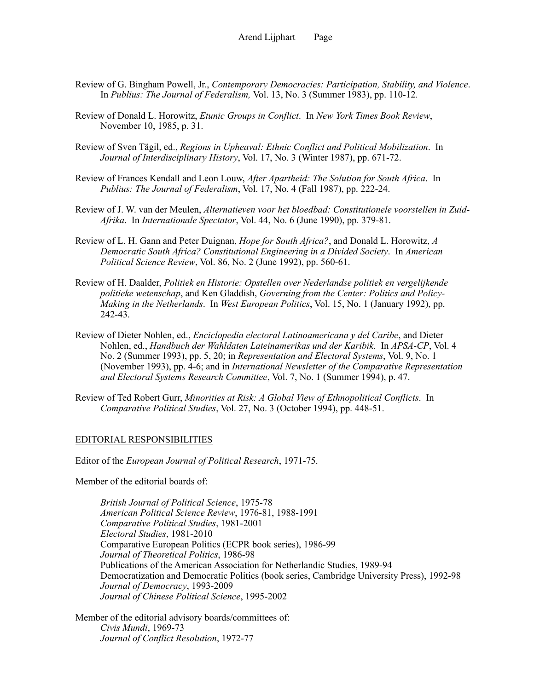- Review of G. Bingham Powell, Jr., *Contemporary Democracies: Participation, Stability, and Violence*. In *Publius: The Journal of Federalism,* Vol. 13, No. 3 (Summer 1983), pp. 110-12*.*
- Review of Donald L. Horowitz, *Etunic Groups in Conflict*. In *New York Times Book Review*, November 10, 1985, p. 31.
- Review of Sven Tägil, ed., *Regions in Upheaval: Ethnic Conflict and Political Mobilization*. In *Journal of Interdisciplinary History*, Vol. 17, No. 3 (Winter 1987), pp. 671-72.
- Review of Frances Kendall and Leon Louw, *After Apartheid: The Solution for South Africa*. In *Publius: The Journal of Federalism*, Vol. 17, No. 4 (Fall 1987), pp. 222-24.
- Review of J. W. van der Meulen, *Alternatieven voor het bloedbad: Constitutionele voorstellen in Zuid-Afrika*. In *Internationale Spectator*, Vol. 44, No. 6 (June 1990), pp. 379-81.
- Review of L. H. Gann and Peter Duignan, *Hope for South Africa?*, and Donald L. Horowitz, *A Democratic South Africa? Constitutional Engineering in a Divided Society*. In *American Political Science Review*, Vol. 86, No. 2 (June 1992), pp. 560-61.
- Review of H. Daalder, *Politiek en Historie: Opstellen over Nederlandse politiek en vergelijkende politieke wetenschap*, and Ken Gladdish, *Governing from the Center: Politics and Policy-Making in the Netherlands*. In *West European Politics*, Vol. 15, No. 1 (January 1992), pp. 242-43.
- Review of Dieter Nohlen, ed., *Enciclopedia electoral Latinoamericana y del Caribe*, and Dieter Nohlen, ed., *Handbuch der Wahldaten Lateinamerikas und der Karibik.* In *APSA-CP*, Vol. 4 No. 2 (Summer 1993), pp. 5, 20; in *Representation and Electoral Systems*, Vol. 9, No. 1 (November 1993), pp. 4-6; and in *International Newsletter of the Comparative Representation and Electoral Systems Research Committee*, Vol. 7, No. 1 (Summer 1994), p. 47.
- Review of Ted Robert Gurr, *Minorities at Risk: A Global View of Ethnopolitical Conflicts*. In *Comparative Political Studies*, Vol. 27, No. 3 (October 1994), pp. 448-51.

#### EDITORIAL RESPONSIBILITIES

Editor of the *European Journal of Political Research*, 1971-75.

Member of the editorial boards of:

*British Journal of Political Science*, 1975-78 *American Political Science Review*, 1976-81, 1988-1991 *Comparative Political Studies*, 1981-2001 *Electoral Studies*, 1981-2010 Comparative European Politics (ECPR book series), 1986-99 *Journal of Theoretical Politics*, 1986-98 Publications of the American Association for Netherlandic Studies, 1989-94 Democratization and Democratic Politics (book series, Cambridge University Press), 1992-98 *Journal of Democracy*, 1993-2009 *Journal of Chinese Political Science*, 1995-2002

Member of the editorial advisory boards/committees of: *Civis Mundi*, 1969-73 *Journal of Conflict Resolution*, 1972-77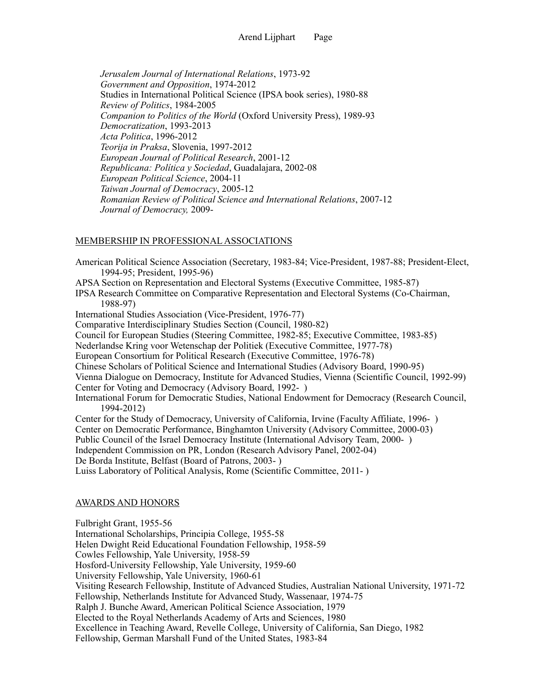*Jerusalem Journal of International Relations*, 1973-92 *Government and Opposition*, 1974-2012 Studies in International Political Science (IPSA book series), 1980-88 *Review of Politics*, 1984-2005 *Companion to Politics of the World* (Oxford University Press), 1989-93 *Democratization*, 1993-2013 *Acta Politica*, 1996-2012 *Teorija in Praksa*, Slovenia, 1997-2012 *European Journal of Political Research*, 2001-12 *Republicana: Política y Sociedad*, Guadalajara, 2002-08  *European Political Science*, 2004-11  *Taiwan Journal of Democracy*, 2005-12  *Romanian Review of Political Science and International Relations*, 2007-12  *Journal of Democracy,* 2009-

## MEMBERSHIP IN PROFESSIONAL ASSOCIATIONS

American Political Science Association (Secretary, 1983-84; Vice-President, 1987-88; President-Elect, 1994-95; President, 1995-96) APSA Section on Representation and Electoral Systems (Executive Committee, 1985-87) IPSA Research Committee on Comparative Representation and Electoral Systems (Co-Chairman, 1988-97) International Studies Association (Vice-President, 1976-77) Comparative Interdisciplinary Studies Section (Council, 1980-82) Council for European Studies (Steering Committee, 1982-85; Executive Committee, 1983-85) Nederlandse Kring voor Wetenschap der Politiek (Executive Committee, 1977-78) European Consortium for Political Research (Executive Committee, 1976-78) Chinese Scholars of Political Science and International Studies (Advisory Board, 1990-95) Vienna Dialogue on Democracy, Institute for Advanced Studies, Vienna (Scientific Council, 1992-99) Center for Voting and Democracy (Advisory Board, 1992- ) International Forum for Democratic Studies, National Endowment for Democracy (Research Council, 1994-2012) Center for the Study of Democracy, University of California, Irvine (Faculty Affiliate, 1996- ) Center on Democratic Performance, Binghamton University (Advisory Committee, 2000-03) Public Council of the Israel Democracy Institute (International Advisory Team, 2000- ) Independent Commission on PR, London (Research Advisory Panel, 2002-04) De Borda Institute, Belfast (Board of Patrons, 2003- ) Luiss Laboratory of Political Analysis, Rome (Scientific Committee, 2011- ) AWARDS AND HONORS Fulbright Grant, 1955-56

International Scholarships, Principia College, 1955-58 Helen Dwight Reid Educational Foundation Fellowship, 1958-59 Cowles Fellowship, Yale University, 1958-59 Hosford-University Fellowship, Yale University, 1959-60 University Fellowship, Yale University, 1960-61 Visiting Research Fellowship, Institute of Advanced Studies, Australian National University, 1971-72 Fellowship, Netherlands Institute for Advanced Study, Wassenaar, 1974-75 Ralph J. Bunche Award, American Political Science Association, 1979 Elected to the Royal Netherlands Academy of Arts and Sciences, 1980 Excellence in Teaching Award, Revelle College, University of California, San Diego, 1982 Fellowship, German Marshall Fund of the United States, 1983-84